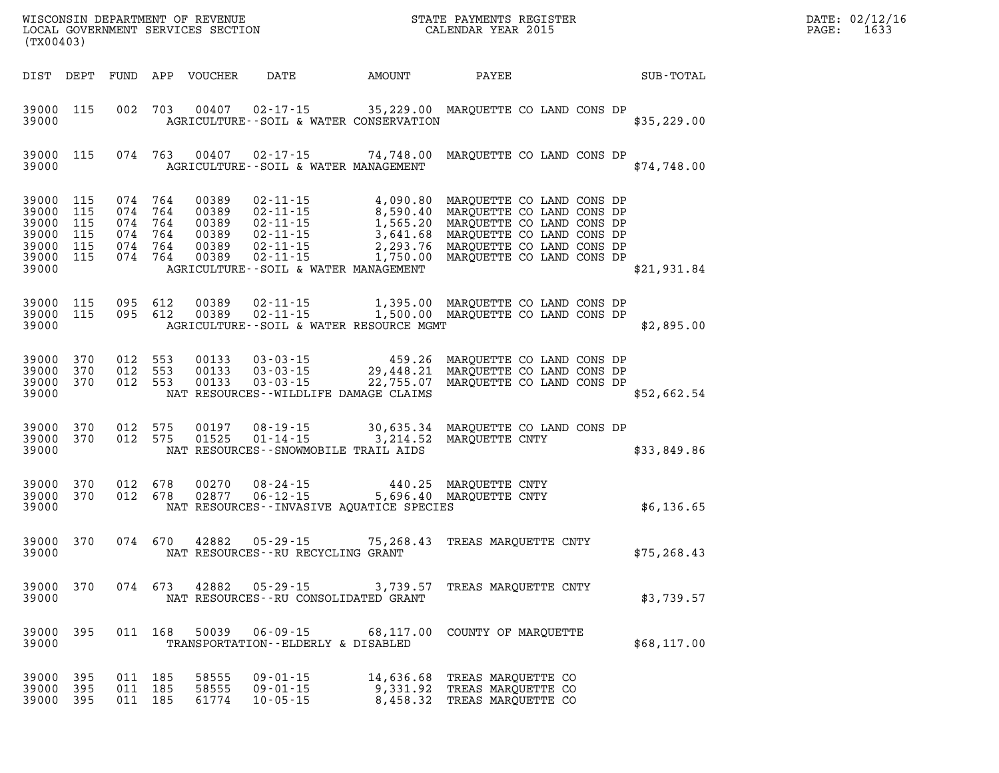| DATE: | 02/12/16 |
|-------|----------|
| PAGE: | 1633     |

| (TX00403)                                                                           |                        |         |                    |                                 |                                                                                                                                                                                                                                                                             | $\mathbb{R}^n$               |                                                            |  |  |              | DATE: 02/12/1<br>PAGE:<br>1633 |
|-------------------------------------------------------------------------------------|------------------------|---------|--------------------|---------------------------------|-----------------------------------------------------------------------------------------------------------------------------------------------------------------------------------------------------------------------------------------------------------------------------|------------------------------|------------------------------------------------------------|--|--|--------------|--------------------------------|
|                                                                                     |                        |         |                    |                                 | DIST DEPT FUND APP VOUCHER DATE AMOUNT PAYEE TOTAL                                                                                                                                                                                                                          |                              |                                                            |  |  |              |                                |
| 39000                                                                               | 39000 115              |         |                    |                                 | 002 703 00407 02-17-15 35,229.00 MARQUETTE CO LAND CONS DP<br>AGRICULTURE--SOIL & WATER CONSERVATION                                                                                                                                                                        |                              |                                                            |  |  | \$35,229.00  |                                |
| 39000                                                                               | 39000 115              |         |                    |                                 | 074 763 00407 02-17-15 74,748.00 MARQUETTE CO LAND CONS DP<br>AGRICULTURE--SOIL & WATER MANAGEMENT                                                                                                                                                                          |                              |                                                            |  |  | \$74,748.00  |                                |
| 39000 115<br>39000 115<br>39000 115<br>39000 115<br>39000 115<br>39000 115<br>39000 |                        |         |                    |                                 | 074 764 00389 02-11-15 4,090.80 MARQUETTE CO LAND CONS DP<br>074 764 00389 02-11-15 8,590.40 MARQUETTE CO LAND CONS DP<br>074 764 00389 02-11-15 1,565.20 MARQUETTE CO LAND CONS DP<br>074 764 00389 02-11-15 3,641.68 MARQUETTE CO<br>AGRICULTURE--SOIL & WATER MANAGEMENT |                              |                                                            |  |  | \$21,931.84  |                                |
| 39000                                                                               |                        |         |                    |                                 | 39000 115 095 612 00389 02-11-15 1,395.00 MARQUETTE CO LAND CONS DP 39000 115 095 612 00389 02-11-15 1,500.00 MARQUETTE CO LAND CONS DP<br>AGRICULTURE -- SOIL & WATER RESOURCE MGMT                                                                                        |                              |                                                            |  |  | \$2,895.00   |                                |
| 39000 370<br>39000 370<br>39000 370<br>39000                                        |                        |         | 012 553<br>012 553 | 012 553 00133<br>00133<br>00133 | 03-03-15 459.26 MARQUETTE CO LAND CONS DP<br>03-03-15 29,448.21 MARQUETTE CO LAND CONS DP<br>03-03-15 22,755.07 MARQUETTE CO LAND CONS DP<br>NAT RESOURCES--WILDLIFE DAMAGE CLAIMS                                                                                          |                              |                                                            |  |  | \$52,662.54  |                                |
| 39000                                                                               | 39000 370<br>39000 370 |         |                    |                                 | 012 575 00197 08-19-15 30,635.34 MARQUETTE CO LAND CONS DP<br>012 575 01525 01-14-15 3,214.52 MARQUETTE CNTY<br>NAT RESOURCES--SNOWMOBILE TRAIL AIDS                                                                                                                        |                              |                                                            |  |  | \$33,849.86  |                                |
| 39000 370<br>39000 370<br>39000                                                     |                        |         |                    |                                 | 012 678 00270 08-24-15 440.25 MARQUETTE CNTY<br>012 678 02877 06-12-15 5,696.40 MARQUETTE CNTY<br>NAT RESOURCES--INVASIVE AQUATICE SPECIES                                                                                                                                  |                              |                                                            |  |  | \$6,136.65   |                                |
| 39000                                                                               | 39000 370              |         |                    |                                 | 074 670 42882 05-29-15 75,268.43 TREAS MARQUETTE CNTY<br>NAT RESOURCES--RU RECYCLING GRANT                                                                                                                                                                                  |                              |                                                            |  |  | \$75, 268.43 |                                |
| 39000 370<br>39000                                                                  |                        |         | 074 673            | 42882                           | $05 - 29 - 15$<br>NAT RESOURCES - - RU CONSOLIDATED GRANT                                                                                                                                                                                                                   |                              | 3,739.57 TREAS MAROUETTE CNTY                              |  |  | \$3,739.57   |                                |
| 39000<br>39000                                                                      | 395                    |         |                    | 011 168 50039                   | 06-09-15 68,117.00 COUNTY OF MAROUETTE<br>TRANSPORTATION--ELDERLY & DISABLED                                                                                                                                                                                                |                              |                                                            |  |  | \$68,117.00  |                                |
| 39000<br>39000<br>39000                                                             | 395<br>395<br>395      | 011 185 | 011 185<br>011 185 | 58555<br>58555<br>61774         | $09 - 01 - 15$<br>$09 - 01 - 15$<br>$10 - 05 - 15$                                                                                                                                                                                                                          | 14,636.68 TREAS MAROUETTE CO | 9,331.92 TREAS MARQUETTE CO<br>8,458.32 TREAS MARQUETTE CO |  |  |              |                                |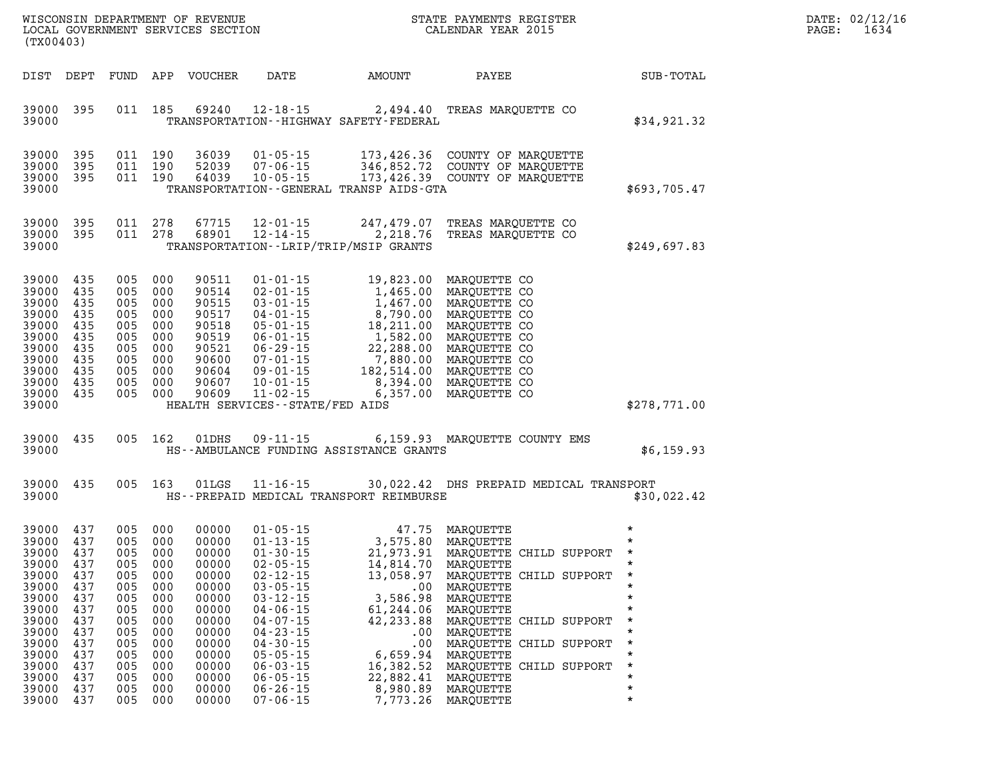| DATE: | 02/12/16 |
|-------|----------|
| PAGE: | 1634     |

| (TX00403)                                                                                                                  |                                                                                                             |                                                                           |                                                                                                                       |                                                                                                                                     |                                                                                                                                                                                                    |                                                                                                                                                                                                                                                                            | STATE PAYMENTS REGISTER                                                                                                                                                                                                                                                                                                                                                                                     |                                                                                                                                                        | DATE: 02/12/1<br>PAGE:<br>1634 |
|----------------------------------------------------------------------------------------------------------------------------|-------------------------------------------------------------------------------------------------------------|---------------------------------------------------------------------------|-----------------------------------------------------------------------------------------------------------------------|-------------------------------------------------------------------------------------------------------------------------------------|----------------------------------------------------------------------------------------------------------------------------------------------------------------------------------------------------|----------------------------------------------------------------------------------------------------------------------------------------------------------------------------------------------------------------------------------------------------------------------------|-------------------------------------------------------------------------------------------------------------------------------------------------------------------------------------------------------------------------------------------------------------------------------------------------------------------------------------------------------------------------------------------------------------|--------------------------------------------------------------------------------------------------------------------------------------------------------|--------------------------------|
|                                                                                                                            | DIST DEPT                                                                                                   |                                                                           |                                                                                                                       | FUND APP VOUCHER                                                                                                                    | <b>DATE</b>                                                                                                                                                                                        |                                                                                                                                                                                                                                                                            | AMOUNT PAYEE                                                                                                                                                                                                                                                                                                                                                                                                | SUB-TOTAL                                                                                                                                              |                                |
| 39000                                                                                                                      | 39000 395                                                                                                   |                                                                           |                                                                                                                       |                                                                                                                                     |                                                                                                                                                                                                    | TRANSPORTATION - - HIGHWAY SAFETY - FEDERAL                                                                                                                                                                                                                                | 011 185 69240 12-18-15 2,494.40 TREAS MARQUETTE CO                                                                                                                                                                                                                                                                                                                                                          | \$34,921.32                                                                                                                                            |                                |
| 39000<br>39000<br>39000                                                                                                    | 395<br>395<br>39000 395                                                                                     | 011 190                                                                   | 011 190<br>011 190                                                                                                    | 36039<br>52039                                                                                                                      | 64039 10-05-15                                                                                                                                                                                     | TRANSPORTATION - - GENERAL TRANSP AIDS - GTA                                                                                                                                                                                                                               | 01-05-15 173,426.36 COUNTY OF MARQUETTE<br>07-06-15 346,852.72 COUNTY OF MARQUETTE<br>10-05-15 173,426.39 COUNTY OF MARQUETTE                                                                                                                                                                                                                                                                               | \$693,705.47                                                                                                                                           |                                |
| 39000                                                                                                                      | 39000 395<br>39000 395                                                                                      |                                                                           | 011 278<br>011 278                                                                                                    |                                                                                                                                     |                                                                                                                                                                                                    | TRANSPORTATION - - LRIP/TRIP/MSIP GRANTS                                                                                                                                                                                                                                   | 67715  12-01-15  247,479.07  TREAS MARQUETTE CO<br>68901  12-14-15  2,218.76  TREAS MARQUETTE CO                                                                                                                                                                                                                                                                                                            | \$249,697.83                                                                                                                                           |                                |
| 39000<br>39000<br>39000<br>39000<br>39000<br>39000<br>39000<br>39000<br>39000<br>39000                                     | 39000 435<br>435<br>435<br>435<br>435<br>435<br>435<br>435<br>435<br>39000 435<br>435                       | 005 000<br>005 000<br>005 000                                             | 005 000<br>005 000<br>005 000<br>005 000<br>005 000<br>005 000<br>005 000<br>005 000                                  | 90511<br>90514<br>90515<br>90517<br>90518<br>90519<br>90521<br>90600<br>90604<br>90607<br>90609                                     | HEALTH SERVICES--STATE/FED AIDS                                                                                                                                                                    | 01-01-15<br>02-01-15<br>03-01-15<br>03-01-15<br>04-01-15<br>05-01-15<br>06-01-15<br>06-01-15<br>06-29-15<br>07-01-15<br>07-01-15<br>07-01-15<br>07-01-15<br>07-01-15<br>07-01-15<br>07-01-15<br>08-514.00<br>08-00<br>08-01-15<br>07-01-15<br>08-514.00<br>08-00<br>MARQUE |                                                                                                                                                                                                                                                                                                                                                                                                             | \$278,771.00                                                                                                                                           |                                |
| 39000<br>39000                                                                                                             | 435                                                                                                         |                                                                           | 005 162                                                                                                               | 01DHS                                                                                                                               |                                                                                                                                                                                                    | HS--AMBULANCE FUNDING ASSISTANCE GRANTS                                                                                                                                                                                                                                    | 09-11-15 6,159.93 MARQUETTE COUNTY EMS                                                                                                                                                                                                                                                                                                                                                                      | \$6,159.93                                                                                                                                             |                                |
| 39000<br>39000                                                                                                             | 435                                                                                                         |                                                                           | 005 163                                                                                                               |                                                                                                                                     |                                                                                                                                                                                                    |                                                                                                                                                                                                                                                                            | 01LGS  11-16-15  30,022.42 DHS PREPAID MEDICAL TRANSPORT<br>HS--PREPAID MEDICAL TRANSPORT REIMBURSE                                                                                                                                                                                                                                                                                                         | \$30,022.42                                                                                                                                            |                                |
| 39000<br>39000<br>39000<br>39000<br>39000<br>39000<br>39000<br>39000<br>39000<br>39000<br>39000<br>39000<br>39000<br>39000 | 437<br>437<br>437<br>437<br>39000 437<br>437<br>437<br>437<br>437<br>437<br>437<br>437<br>437<br>437<br>437 | 005<br>005<br>005<br>005<br>005<br>005<br>005<br>005<br>005<br>005<br>005 | 005 000<br>005 000<br>005 000<br>005 000<br>000<br>000<br>000<br>000<br>000<br>000<br>000<br>000<br>000<br>000<br>000 | 00000<br>00000<br>00000<br>00000<br>00000<br>00000<br>00000<br>00000<br>00000<br>00000<br>00000<br>00000<br>00000<br>00000<br>00000 | $02 - 12 - 15$<br>$03 - 05 - 15$<br>$03 - 12 - 15$<br>$04 - 06 - 15$<br>$04 - 07 - 15$<br>$04 - 23 - 15$<br>$04 - 30 - 15$<br>$05 - 05 - 15$<br>$06 - 03 - 15$<br>$06 - 05 - 15$<br>$06 - 26 - 15$ | 3,586.98<br>61,244.06 MARQUETTE<br>.00<br>6,659.94<br>16,382.52<br>22,882.41<br>8,980.89                                                                                                                                                                                   | 01-05-15<br>01-13-15<br>01-30-15<br>21,973.91 MARQUETTE CHILD SUPPORT<br>02-05-15<br>21,973.91 MARQUETTE CHILD SUPPORT<br>14,814.70 MARQUETTE<br>12,059.97 MARQUETTE CHILD SUPPORT<br>13,058.97 MAROUETTE CHILD SUPPORT *<br>.00 MARQUETTE<br>MARQUETTE<br>42, 233.88 MARQUETTE CHILD SUPPORT<br>.00 MARQUETTE<br>MARQUETTE CHILD SUPPORT<br>MARQUETTE<br>MARQUETTE CHILD SUPPORT<br>MARQUETTE<br>MAROUETTE | $\star$<br>$\star$<br>$\star$<br>$\star$<br>$\star$<br>$\star$<br>$\star$<br>$\star$<br>$\star$<br>$\star$<br>$\star$<br>$\star$<br>$\star$<br>$\star$ |                                |

**39000 437 005 000 00000 07-06-15 7,773.26 MARQUETTE \***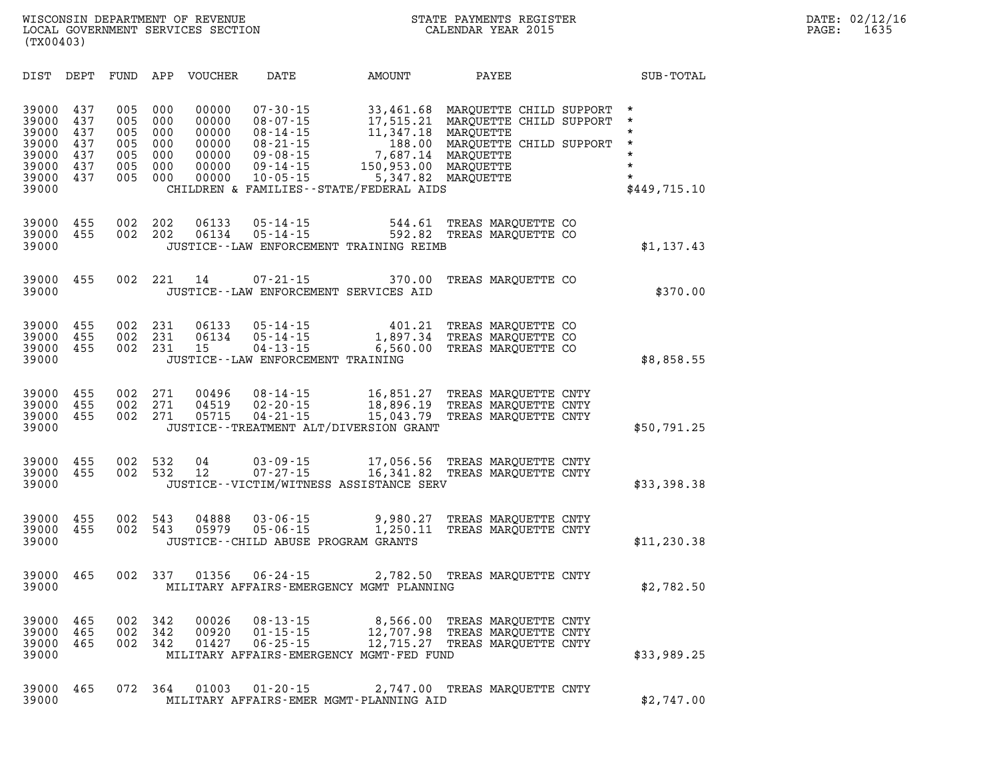| DIST                                                                 | DEPT                                          | FUND                                          | APP                                           | <b>VOUCHER</b>                                              | DATE                                                                                                                       | AMOUNT                                                                                                                         | PAYEE                                                                                                                             | SUB-TOTAL                                                                                 |
|----------------------------------------------------------------------|-----------------------------------------------|-----------------------------------------------|-----------------------------------------------|-------------------------------------------------------------|----------------------------------------------------------------------------------------------------------------------------|--------------------------------------------------------------------------------------------------------------------------------|-----------------------------------------------------------------------------------------------------------------------------------|-------------------------------------------------------------------------------------------|
| 39000<br>39000<br>39000<br>39000<br>39000<br>39000<br>39000<br>39000 | 437<br>437<br>437<br>437<br>437<br>437<br>437 | 005<br>005<br>005<br>005<br>005<br>005<br>005 | 000<br>000<br>000<br>000<br>000<br>000<br>000 | 00000<br>00000<br>00000<br>00000<br>00000<br>00000<br>00000 | $07 - 30 - 15$<br>$08 - 07 - 15$<br>$08 - 14 - 15$<br>$08 - 21 - 15$<br>$09 - 08 - 15$<br>$09 - 14 - 15$<br>$10 - 05 - 15$ | 33,461.68<br>17,515.21<br>11,347.18<br>188.00<br>7,687.14<br>150,953.00<br>5,347.82<br>CHILDREN & FAMILIES--STATE/FEDERAL AIDS | MAROUETTE CHILD SUPPORT<br>MARQUETTE CHILD SUPPORT<br>MAROUETTE<br>MARQUETTE CHILD SUPPORT<br>MARQUETTE<br>MARQUETTE<br>MAROUETTE | $\star$<br>$\star$<br>$\star$<br>$\star$<br>$\star$<br>$\star$<br>$\star$<br>\$449,715.10 |
| 39000<br>39000<br>39000                                              | 455<br>455                                    | 002<br>002                                    | 202<br>202                                    | 06133<br>06134                                              | $05 - 14 - 15$<br>$05 - 14 - 15$                                                                                           | 544.61<br>592.82<br>JUSTICE--LAW ENFORCEMENT TRAINING REIMB                                                                    | TREAS MARQUETTE CO<br>TREAS MAROUETTE CO                                                                                          | \$1,137.43                                                                                |
| 39000<br>39000                                                       | 455                                           | 002                                           | 221                                           | 14                                                          | $07 - 21 - 15$                                                                                                             | 370.00<br>JUSTICE--LAW ENFORCEMENT SERVICES AID                                                                                | TREAS MARQUETTE CO                                                                                                                | \$370.00                                                                                  |
| 39000<br>39000<br>39000<br>39000                                     | 455<br>455<br>455                             | 002<br>002<br>002                             | 231<br>231<br>231                             | 06133<br>06134<br>15                                        | $05 - 14 - 15$<br>$05 - 14 - 15$<br>$04 - 13 - 15$                                                                         | 401.21<br>1,897.34<br>6,560.00<br>JUSTICE--LAW ENFORCEMENT TRAINING                                                            | TREAS MAROUETTE CO<br>TREAS MARQUETTE CO<br>TREAS MARQUETTE CO                                                                    | \$8,858.55                                                                                |
| 39000<br>39000<br>39000<br>39000                                     | 455<br>455<br>455                             | 002<br>002<br>002                             | 271<br>271<br>271                             | 00496<br>04519<br>05715                                     | $08 - 14 - 15$<br>$02 - 20 - 15$<br>$04 - 21 - 15$                                                                         | 16,851.27<br>18,896.19<br>15,043.79<br>JUSTICE - TREATMENT ALT/DIVERSION GRANT                                                 | TREAS MAROUETTE CNTY<br>TREAS MARQUETTE CNTY<br>TREAS MARQUETTE CNTY                                                              | \$50,791.25                                                                               |
| 39000<br>39000<br>39000                                              | 455<br>455                                    | 002<br>002                                    | 532<br>532                                    | 04<br>12                                                    | $03 - 09 - 15$<br>$07 - 27 - 15$                                                                                           | 17,056.56<br>16,341.82<br>JUSTICE--VICTIM/WITNESS ASSISTANCE SERV                                                              | TREAS MARQUETTE CNTY<br>TREAS MAROUETTE CNTY                                                                                      | \$33,398.38                                                                               |
| 39000<br>39000<br>39000                                              | 455<br>455                                    | 002<br>002                                    | 543<br>543                                    | 04888<br>05979                                              | $03 - 06 - 15$<br>$05 - 06 - 15$                                                                                           | 9,980.27<br>1,250.11<br>JUSTICE--CHILD ABUSE PROGRAM GRANTS                                                                    | TREAS MAROUETTE CNTY<br>TREAS MARQUETTE CNTY                                                                                      | \$11, 230.38                                                                              |
| 39000<br>39000                                                       | 465                                           | 002                                           | 337                                           | 01356                                                       | $06 - 24 - 15$                                                                                                             | 2,782.50<br>MILITARY AFFAIRS-EMERGENCY MGMT PLANNING                                                                           | TREAS MAROUETTE CNTY                                                                                                              | \$2,782.50                                                                                |
| 39000<br>39000<br>39000<br>39000                                     | 465<br>465<br>465                             | 002<br>002<br>002                             | 342<br>342<br>342                             | 00026<br>00920<br>01427                                     | $08 - 13 - 15$<br>$01 - 15 - 15$<br>$06 - 25 - 15$                                                                         | 8,566.00<br>12,707.98<br>12,715.27<br>MILITARY AFFAIRS-EMERGENCY MGMT-FED FUND                                                 | TREAS MARQUETTE CNTY<br>TREAS MAROUETTE CNTY<br>TREAS MARQUETTE CNTY                                                              | \$33,989.25                                                                               |
| 39000<br>39000                                                       | 465                                           | 072                                           | 364                                           | 01003                                                       | $01 - 20 - 15$                                                                                                             | 2,747.00<br>MILITARY AFFAIRS-EMER MGMT-PLANNING AID                                                                            | TREAS MAROUETTE CNTY                                                                                                              | \$2,747.00                                                                                |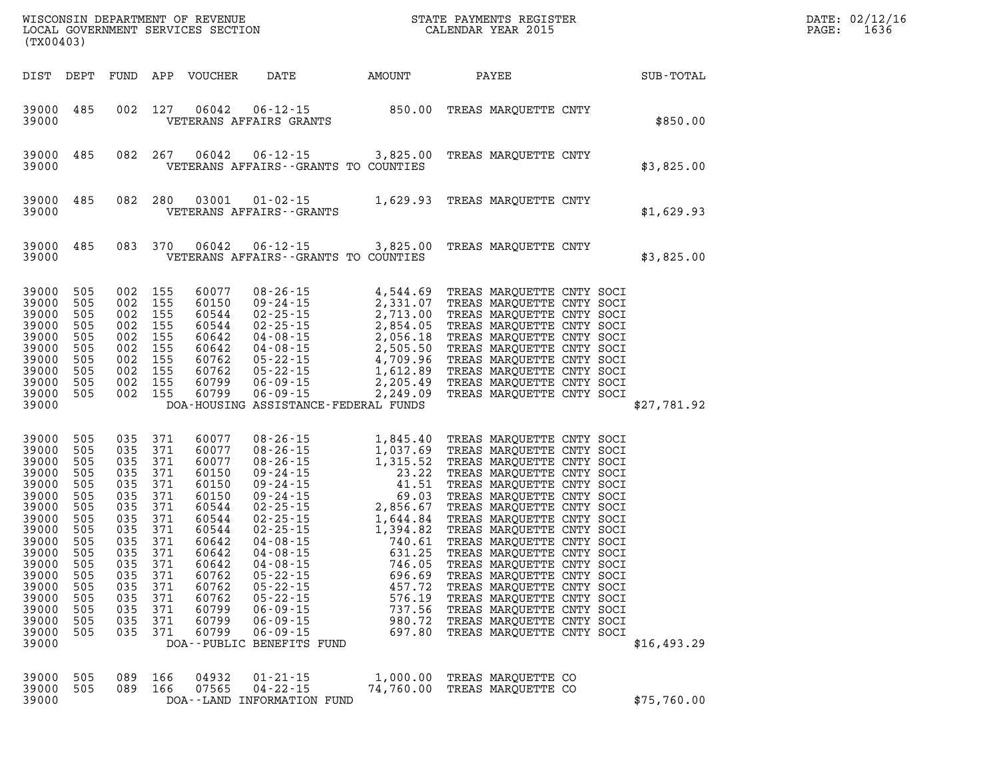| (TX00403)                                                                                                                                                               |                                                                                                                            |                                                                                                                            |                                                                                                                            | LOCAL GOVERNMENT SERVICES SECTION                                                                                                                              |                                                                                                                                                                                                                                                                                                                                                                                                                                                          |                                                |                                                                                                                                                                                                                                                                                                                                                                                                                                                                                                                                        |             | DATE: 02/12/16<br>1636<br>PAGE: |
|-------------------------------------------------------------------------------------------------------------------------------------------------------------------------|----------------------------------------------------------------------------------------------------------------------------|----------------------------------------------------------------------------------------------------------------------------|----------------------------------------------------------------------------------------------------------------------------|----------------------------------------------------------------------------------------------------------------------------------------------------------------|----------------------------------------------------------------------------------------------------------------------------------------------------------------------------------------------------------------------------------------------------------------------------------------------------------------------------------------------------------------------------------------------------------------------------------------------------------|------------------------------------------------|----------------------------------------------------------------------------------------------------------------------------------------------------------------------------------------------------------------------------------------------------------------------------------------------------------------------------------------------------------------------------------------------------------------------------------------------------------------------------------------------------------------------------------------|-------------|---------------------------------|
| DIST DEPT                                                                                                                                                               |                                                                                                                            |                                                                                                                            |                                                                                                                            | FUND APP VOUCHER                                                                                                                                               | DATE                                                                                                                                                                                                                                                                                                                                                                                                                                                     | AMOUNT                                         | PAYEE                                                                                                                                                                                                                                                                                                                                                                                                                                                                                                                                  | SUB-TOTAL   |                                 |
| 39000<br>39000                                                                                                                                                          | 485                                                                                                                        | 002                                                                                                                        | 127                                                                                                                        | 06042                                                                                                                                                          | $06 - 12 - 15$ 850.00<br>VETERANS AFFAIRS GRANTS                                                                                                                                                                                                                                                                                                                                                                                                         |                                                | TREAS MARQUETTE CNTY                                                                                                                                                                                                                                                                                                                                                                                                                                                                                                                   | \$850.00    |                                 |
| 39000<br>39000                                                                                                                                                          | 485                                                                                                                        | 082                                                                                                                        | 267                                                                                                                        | 06042                                                                                                                                                          | 06-12-15<br>VETERANS AFFAIRS -- GRANTS TO COUNTIES                                                                                                                                                                                                                                                                                                                                                                                                       | 3,825.00                                       | TREAS MARQUETTE CNTY                                                                                                                                                                                                                                                                                                                                                                                                                                                                                                                   | \$3,825.00  |                                 |
| 39000<br>39000                                                                                                                                                          | 485                                                                                                                        | 082                                                                                                                        | 280                                                                                                                        | 03001                                                                                                                                                          | $01 - 02 - 15$ 1,629.93<br>VETERANS AFFAIRS - - GRANTS                                                                                                                                                                                                                                                                                                                                                                                                   |                                                | TREAS MARQUETTE CNTY                                                                                                                                                                                                                                                                                                                                                                                                                                                                                                                   | \$1,629.93  |                                 |
| 39000<br>39000                                                                                                                                                          | 485                                                                                                                        | 083                                                                                                                        | 370                                                                                                                        | 06042                                                                                                                                                          | 06-12-15<br>VETERANS AFFAIRS -- GRANTS TO COUNTIES                                                                                                                                                                                                                                                                                                                                                                                                       | 3,825.00                                       | TREAS MARQUETTE CNTY                                                                                                                                                                                                                                                                                                                                                                                                                                                                                                                   | \$3,825.00  |                                 |
| 39000<br>39000<br>39000<br>39000<br>39000<br>39000<br>39000<br>39000<br>39000<br>39000 505<br>39000                                                                     | 505<br>505<br>505<br>505<br>505<br>505<br>505<br>505<br>505                                                                | 002<br>002 155<br>002<br>002<br>002<br>002<br>002<br>002<br>002<br>002 155                                                 | 155<br>155<br>155<br>155<br>155<br>155<br>155<br>155                                                                       | 60077<br>60150<br>60544<br>60544<br>60642<br>60642<br>60762<br>60762<br>60799<br>60799                                                                         | 08-26-15<br>09-24-15<br>02-25-15<br>02-25-15<br>02-25-15<br>04-08-15<br>04-08-15<br>05-22-15<br>05-22-15<br>06-09-15<br>06-09-15<br>06-09-15<br>06-09-15<br>06-09-15<br>06-09-15<br>06-09-15<br>06-09-15<br>06-09-15<br>06-09-15<br>06-09-15<br>06-09-15<br>06-09-15<br>06<br>DOA-HOUSING ASSISTANCE-FEDERAL FUNDS                                                                                                                                       |                                                | TREAS MARQUETTE CNTY SOCI<br>TREAS MARQUETTE CNTY SOCI<br>TREAS MARQUETTE CNTY SOCI<br>TREAS MARQUETTE CNTY SOCI<br>TREAS MARQUETTE CNTY SOCI<br>TREAS MARQUETTE CNTY SOCI<br>TREAS MARQUETTE CNTY SOCI<br>TREAS MARQUETTE CNTY SOCI<br>TREAS MARQUETTE CNTY SOCI<br>TREAS MARQUETTE CNTY SOCI                                                                                                                                                                                                                                         | \$27,781.92 |                                 |
| 39000<br>39000<br>39000<br>39000<br>39000<br>39000<br>39000<br>39000<br>39000<br>39000<br>39000<br>39000<br>39000<br>39000<br>39000<br>39000<br>39000<br>39000<br>39000 | 505<br>505<br>505<br>505<br>505<br>505<br>505<br>505<br>505<br>505<br>505<br>505<br>505<br>505<br>505<br>505<br>505<br>505 | 035<br>035<br>035<br>035<br>035<br>035<br>035<br>035<br>035<br>035<br>035<br>035<br>035<br>035<br>035<br>035<br>035<br>035 | 371<br>371<br>371<br>371<br>371<br>371<br>371<br>371<br>371<br>371<br>371<br>371<br>371<br>371<br>371<br>371<br>371<br>371 | 60077<br>60077<br>60077<br>60150<br>60150<br>60150<br>60544<br>60544<br>60544<br>60642<br>60642<br>60642<br>60762<br>60762<br>60762<br>60799<br>60799<br>60799 | $\begin{array}{cccc} . & 15 & 1 \\ 0.8 & -26 & -15 & 1 \\ 0.8 & -26 & -15 & 1 \\ 0.9 & -24 & -15 & 23 \\ 0.9 & -24 & -15 & 41 \\ 0.9 & -24 & -15 & 41 \\ 0.9 & -24 & -15 & 2 \\ 0.9 & -24 & -15 & 2 \\ 0.9 & -25 & -15 & 2 \\ 0.9 & -15 & 1 \\ 0.9 & -15 & 1 \\ 0.9 & -15 & 1 \\ 0.9 & -15 & 1 \\ 0.9 & 0.9 & 2 \\ 0.9 & 0.9 & 0$<br>$05 - 22 - 15$<br>$05 - 22 - 15$<br>$06 - 09 - 15$<br>$06 - 09 - 15$<br>$06 - 09 - 15$<br>DOA--PUBLIC BENEFITS FUND | 457.72<br>576.19<br>737.56<br>980.72<br>697.80 | TREAS MARQUETTE CNTY SOCI<br>TREAS MARQUETTE CNTY SOCI<br>TREAS MARQUETTE CNTY SOCI<br>TREAS MARQUETTE CNTY SOCI<br>TREAS MARQUETTE CNTY SOCI<br>TREAS MARQUETTE CNTY SOCI<br>TREAS MARQUETTE CNTY SOCI<br>TREAS MARQUETTE CNTY SOCI<br>TREAS MARQUETTE CNTY SOCI<br>TREAS MARQUETTE CNTY SOCI<br>TREAS MARQUETTE CNTY SOCI<br>TREAS MARQUETTE CNTY SOCI<br>TREAS MARQUETTE CNTY SOCI<br>TREAS MARQUETTE CNTY SOCI<br>TREAS MARQUETTE CNTY SOCI<br>TREAS MARQUETTE CNTY SOCI<br>TREAS MARQUETTE CNTY SOCI<br>TREAS MARQUETTE CNTY SOCI | \$16,493.29 |                                 |
| 39000<br>39000<br>39000                                                                                                                                                 | 505<br>505                                                                                                                 | 089<br>089                                                                                                                 | 166<br>166                                                                                                                 | 04932<br>07565                                                                                                                                                 | $01 - 21 - 15$<br>$04 - 22 - 15$<br>DOA--LAND INFORMATION FUND                                                                                                                                                                                                                                                                                                                                                                                           | 1,000.00<br>74,760.00                          | TREAS MARQUETTE CO<br>TREAS MARQUETTE CO                                                                                                                                                                                                                                                                                                                                                                                                                                                                                               | \$75,760.00 |                                 |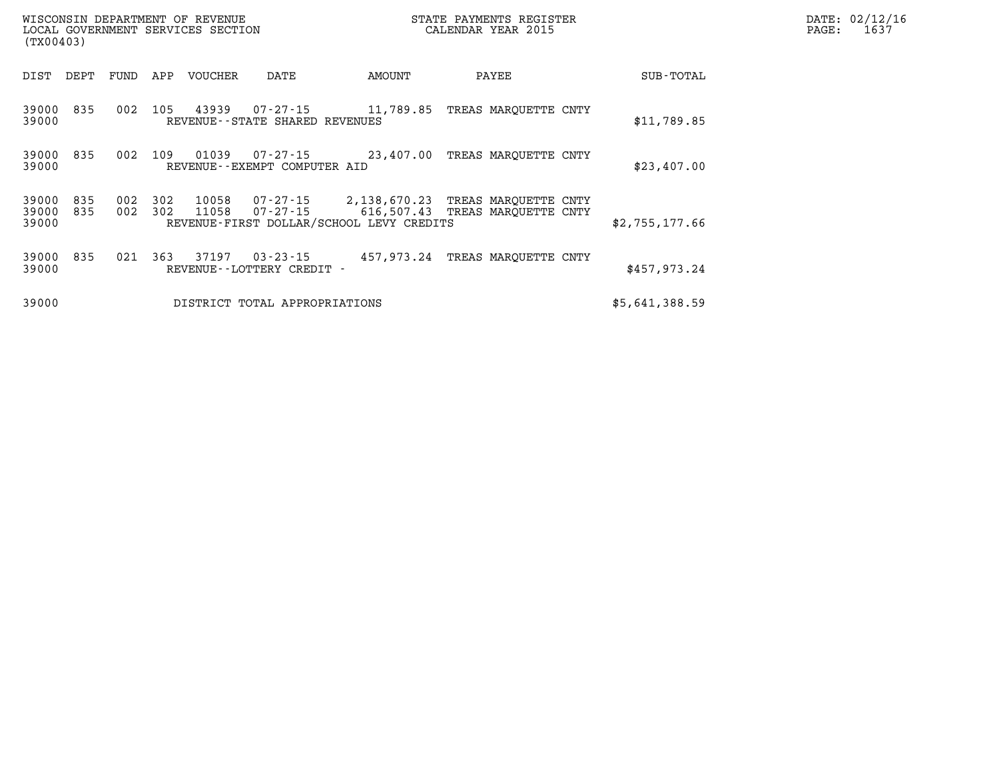| (TX00403)               |            |            |            | WISCONSIN DEPARTMENT OF REVENUE<br>LOCAL GOVERNMENT SERVICES SECTION |                                               |                                                                                                                                    | STATE PAYMENTS REGISTER<br>CALENDAR YEAR 2015 |                | DATE: 02/12/1<br>PAGE:<br>1637 |
|-------------------------|------------|------------|------------|----------------------------------------------------------------------|-----------------------------------------------|------------------------------------------------------------------------------------------------------------------------------------|-----------------------------------------------|----------------|--------------------------------|
| DIST                    | DEPT       | FUND       | APP        | VOUCHER                                                              | DATE                                          | AMOUNT                                                                                                                             | PAYEE                                         | SUB-TOTAL      |                                |
| 39000<br>39000          | 835        | 002        | 105        | 43939                                                                | 07-27-15<br>REVENUE - - STATE SHARED REVENUES |                                                                                                                                    | 11,789.85 TREAS MAROUETTE CNTY                | \$11,789.85    |                                |
| 39000 835<br>39000      |            |            | 002 109    | 01039                                                                | 07-27-15<br>REVENUE--EXEMPT COMPUTER AID      | 23,407.00 TREAS MAROUETTE CNTY                                                                                                     |                                               | \$23,407.00    |                                |
| 39000<br>39000<br>39000 | 835<br>835 | 002<br>002 | 302<br>302 | 10058<br>11058                                                       |                                               | 07-27-15 2,138,670.23 TREAS MARQUETTE CNTY<br>07-27-15 616,507.43 TREAS MARQUETTE CNTY<br>REVENUE-FIRST DOLLAR/SCHOOL LEVY CREDITS |                                               | \$2,755,177.66 |                                |
| 39000 835<br>39000      |            | 021        | 363        | 37197                                                                | $03 - 23 - 15$<br>REVENUE--LOTTERY CREDIT -   |                                                                                                                                    | 457,973.24 TREAS MAROUETTE CNTY               | \$457,973.24   |                                |
| 39000                   |            |            |            |                                                                      | DISTRICT TOTAL APPROPRIATIONS                 |                                                                                                                                    |                                               | \$5,641,388.59 |                                |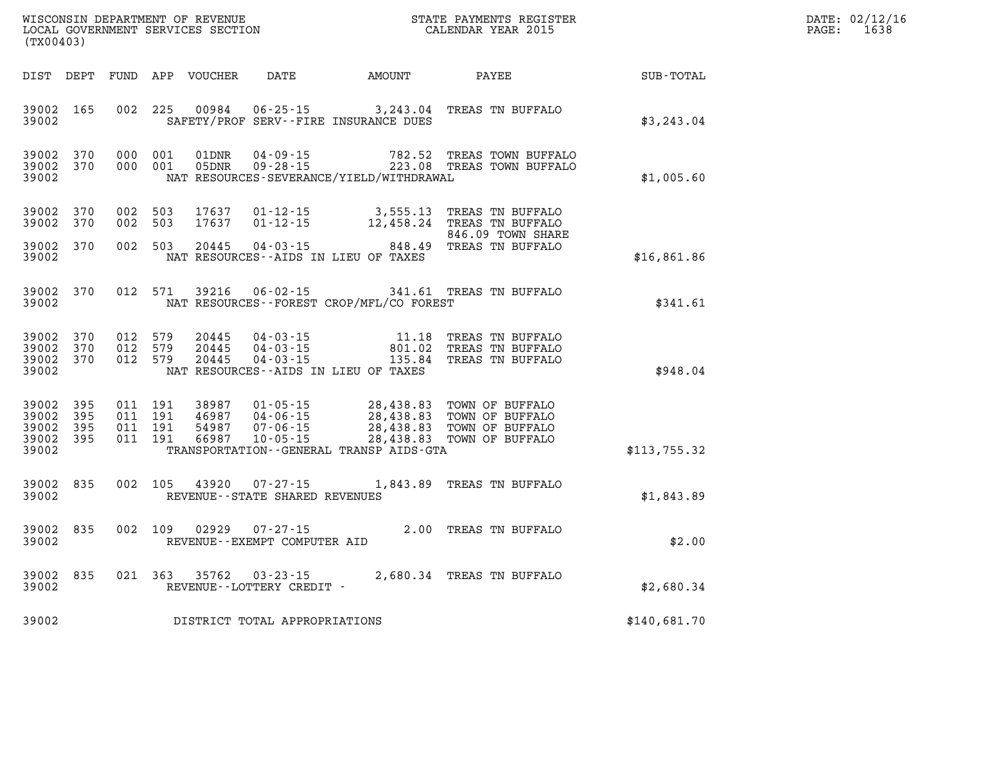| DATE: | 02/12/16 |
|-------|----------|
| PAGE: | 1638     |

| (TX00403)                                             |       |                               |                         |                                   |                                                                                                                                                                                                                                                                                                                                                                                             |                           |              | DATE: 02/12/1<br>PAGE:<br>1638 |
|-------------------------------------------------------|-------|-------------------------------|-------------------------|-----------------------------------|---------------------------------------------------------------------------------------------------------------------------------------------------------------------------------------------------------------------------------------------------------------------------------------------------------------------------------------------------------------------------------------------|---------------------------|--------------|--------------------------------|
|                                                       |       |                               |                         |                                   | DIST DEPT FUND APP VOUCHER DATE AMOUNT PAYEE                                                                                                                                                                                                                                                                                                                                                |                           | SUB-TOTAL    |                                |
| 39002 165<br>39002                                    |       |                               |                         |                                   | 002 225 00984 06-25-15 3,243.04 TREAS TN BUFFALO<br>SAFETY/PROF SERV--FIRE INSURANCE DUES                                                                                                                                                                                                                                                                                                   |                           | \$3,243.04   |                                |
| 39002 370<br>39002 370<br>39002                       |       |                               |                         |                                   | 000 001 01DNR 04-09-15 782.52 TREAS TOWN BUFFALO<br>000 001 05DNR 09-28-15 223.08 TREAS TOWN BUFFALO<br>NAT RESOURCES-SEVERANCE/YIELD/WITHDRAWAL                                                                                                                                                                                                                                            |                           | \$1,005.60   |                                |
| 39002 370<br>39002 370                                |       | 002 503<br>002 503            | 17637<br>17637          |                                   | 01-12-15 3,555.13 TREAS TN BUFFALO<br>01-12-15 12,458.24 TREAS TN BUFFALO                                                                                                                                                                                                                                                                                                                   |                           |              |                                |
| 39002 370<br>39002                                    |       | 002 503                       | 20445                   |                                   | 846.09 TOWN SHARE<br>04-03-15 848.49 TREAS TN BUFFALO<br>NAT RESOURCES--AIDS IN LIEU OF TAXES                                                                                                                                                                                                                                                                                               | 846.09 TOWN SHARE         | \$16,861.86  |                                |
| 39002 370<br>39002                                    |       |                               | 012 571 39216           | $06 - 02 - 15$                    | NAT RESOURCES--FOREST CROP/MFL/CO FOREST                                                                                                                                                                                                                                                                                                                                                    | 341.61 TREAS TN BUFFALO   | \$341.61     |                                |
| 39002 370<br>39002 370<br>39002 370<br>39002          |       | 012 579<br>012 579<br>012 579 | 20445<br>20445<br>20445 |                                   | 04-03-15 11.18 TREAS TN BUFFALO<br>04-03-15 801.02 TREAS TN BUFFALO<br>04-03-15 135.84 TREAS TN BUFFALO<br>NAT RESOURCES--AIDS IN LIEU OF TAXES                                                                                                                                                                                                                                             |                           | \$948.04     |                                |
| 39002 395<br>39002<br>39002 395<br>39002 395<br>39002 | - 395 |                               |                         |                                   | $\begin{array}{cccc} 011 & 191 & 38987 & 01\cdot 05\cdot 15 & 28,438.83 & \text{TOWN OF BUFFALO} \\ 011 & 191 & 46987 & 04\cdot 06\cdot 15 & 28,438.83 & \text{TOWN OF BUFFALO} \\ 011 & 191 & 54987 & 07\cdot 06\cdot 15 & 28,438.83 & \text{TOWN OF BUFFALO} \\ 011 & 191 & 66987 & 10\cdot 05\cdot 15 & 28,438.83 & \text{TOWN OF BUFFALO} \$<br>TRANSPORTATION--GENERAL TRANSP AIDS-GTA | 28,438.83 TOWN OF BUFFALO | \$113,755.32 |                                |
| 39002 835<br>39002                                    |       |                               |                         | REVENUE - - STATE SHARED REVENUES | 002 105 43920 07-27-15 1,843.89 TREAS TN BUFFALO                                                                                                                                                                                                                                                                                                                                            |                           | \$1,843.89   |                                |
| 39002 835<br>39002                                    |       |                               |                         | REVENUE--EXEMPT COMPUTER AID      | 002 109 02929 07-27-15 2.00 TREAS TN BUFFALO                                                                                                                                                                                                                                                                                                                                                |                           | \$2.00       |                                |
| 39002<br>39002                                        | 835   |                               |                         | REVENUE--LOTTERY CREDIT -         | 021 363 35762 03-23-15 2,680.34 TREAS TN BUFFALO                                                                                                                                                                                                                                                                                                                                            |                           | \$2,680.34   |                                |
| 39002                                                 |       |                               |                         | DISTRICT TOTAL APPROPRIATIONS     |                                                                                                                                                                                                                                                                                                                                                                                             |                           | \$140,681.70 |                                |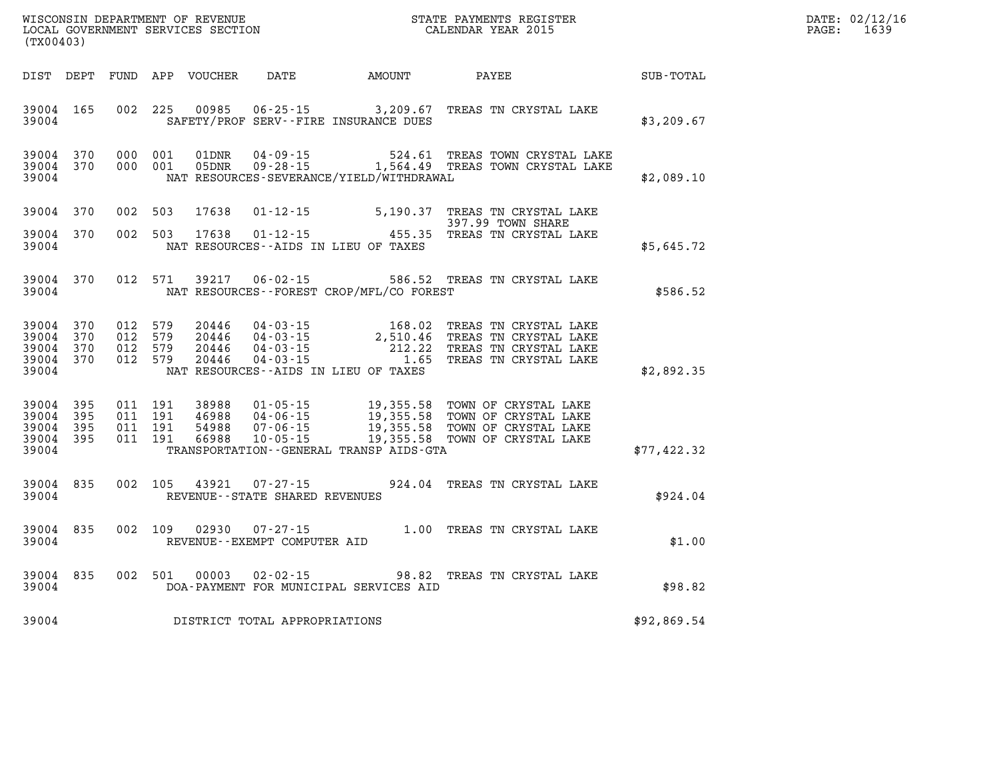| WISCONSIN DEPARTMENT OF REVENUE      | PAYMENTS REGISTER<br>3TATE | DATE: | 02/12/16 |
|--------------------------------------|----------------------------|-------|----------|
| GOVERNMENT SERVICES SECTION<br>LOCAL | CALENDAR YEAR 2015         | PAGE  | 1639     |

| (TX00403)                                             |            |                                          | LOCAL GOVERNMENT SERVICES SECTION |                                                     |                                                            | CALENDAR YEAR 2015                                                                                                                                                                |                  | PAGE: | 1639 |
|-------------------------------------------------------|------------|------------------------------------------|-----------------------------------|-----------------------------------------------------|------------------------------------------------------------|-----------------------------------------------------------------------------------------------------------------------------------------------------------------------------------|------------------|-------|------|
|                                                       |            |                                          |                                   |                                                     | DIST DEPT FUND APP VOUCHER DATE AMOUNT PAYEE               |                                                                                                                                                                                   | <b>SUB-TOTAL</b> |       |      |
| 39004 165<br>39004                                    |            |                                          |                                   |                                                     | SAFETY/PROF SERV--FIRE INSURANCE DUES                      | 002 225 00985 06-25-15 3,209.67 TREAS TN CRYSTAL LAKE                                                                                                                             | \$3,209.67       |       |      |
| 39004 370<br>39004 370<br>39004                       |            | 000 001<br>000 001                       | 01DNR<br>05DNR                    |                                                     | NAT RESOURCES-SEVERANCE/YIELD/WITHDRAWAL                   | 04-09-15 524.61 TREAS TOWN CRYSTAL LAKE<br>09-28-15 1,564.49 TREAS TOWN CRYSTAL LAKE                                                                                              | \$2,089.10       |       |      |
| 39004 370                                             |            | 002 503                                  | 17638                             |                                                     |                                                            | 01-12-15 5,190.37 TREAS TN CRYSTAL LAKE<br>397.99 TOWN SHARE                                                                                                                      |                  |       |      |
| 39004 370<br>39004                                    |            |                                          | 002 503 17638                     |                                                     | $01 - 12 - 15$ 455<br>NAT RESOURCES--AIDS IN LIEU OF TAXES | 455.35 TREAS TN CRYSTAL LAKE                                                                                                                                                      | \$5,645.72       |       |      |
| 39004 370<br>39004                                    |            | 012 571                                  | 39217                             |                                                     | NAT RESOURCES--FOREST CROP/MFL/CO FOREST                   | 06-02-15 586.52 TREAS TN CRYSTAL LAKE                                                                                                                                             | \$586.52         |       |      |
| 39004 370<br>39004<br>39004 370<br>39004 370<br>39004 | 370        | 012 579<br>012 579<br>012 579            | 012 579 20446                     |                                                     | NAT RESOURCES--AIDS IN LIEU OF TAXES                       |                                                                                                                                                                                   | \$2,892.35       |       |      |
| 39004 395<br>39004<br>39004<br>39004 395<br>39004     | 395<br>395 | 011 191<br>011 191<br>011 191<br>011 191 | 66988                             | $10 - 05 - 15$                                      | TRANSPORTATION--GENERAL TRANSP AIDS-GTA                    | 38988 01-05-15 19,355.58 TOWN OF CRYSTAL LAKE<br>46988 04-06-15 19,355.58 TOWN OF CRYSTAL LAKE<br>54988 07-06-15 19,355.58 TOWN OF CRYSTAL LAKE<br>19,355.58 TOWN OF CRYSTAL LAKE | \$77,422.32      |       |      |
| 39004 835<br>39004                                    |            | 002 105                                  |                                   | 43921 07-27-15<br>REVENUE - - STATE SHARED REVENUES |                                                            | 924.04 TREAS TN CRYSTAL LAKE                                                                                                                                                      | \$924.04         |       |      |
| 39004 835<br>39004                                    |            |                                          |                                   | REVENUE--EXEMPT COMPUTER AID                        |                                                            | 002 109 02930 07-27-15 1.00 TREAS TN CRYSTAL LAKE                                                                                                                                 | \$1.00           |       |      |
| 39004 835<br>39004                                    |            | 002 501                                  | 00003                             |                                                     | DOA-PAYMENT FOR MUNICIPAL SERVICES AID                     | 02-02-15 98.82 TREAS TN CRYSTAL LAKE                                                                                                                                              | \$98.82          |       |      |
| 39004                                                 |            |                                          |                                   | DISTRICT TOTAL APPROPRIATIONS                       |                                                            |                                                                                                                                                                                   | \$92,869.54      |       |      |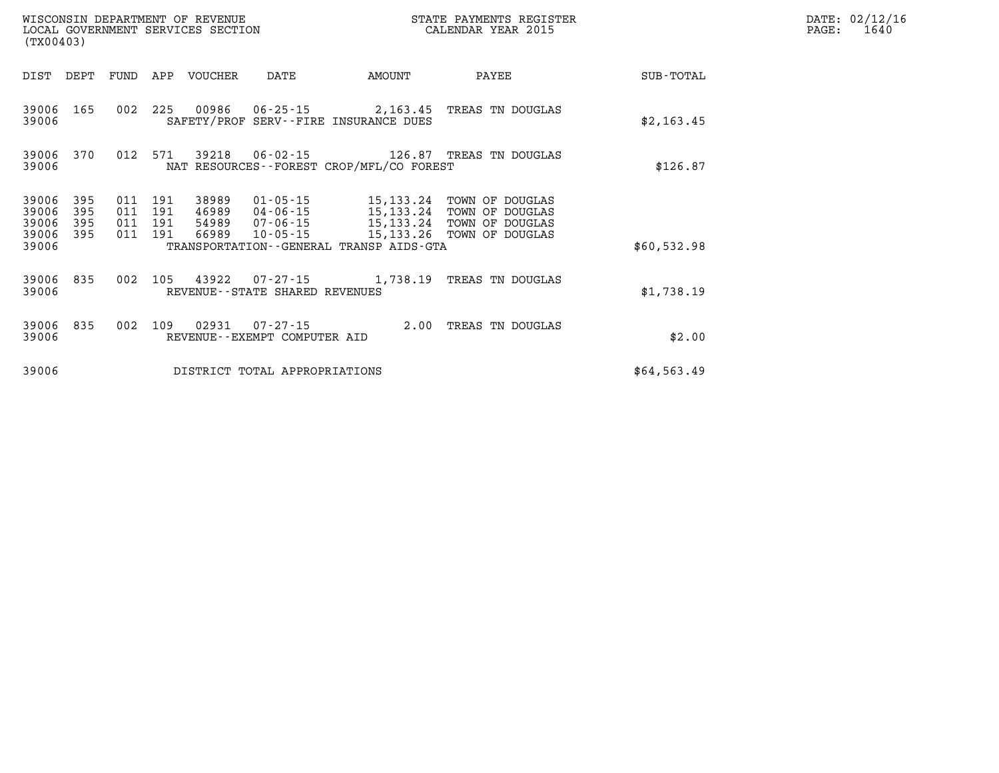| (TX00403)          |            |                    |         | WISCONSIN DEPARTMENT OF REVENUE<br>LOCAL GOVERNMENT SERVICES SECTION |                                |                                             | STATE PAYMENTS REGISTER<br>CALENDAR YEAR 2015 |             | DATE: 02/12/16<br>1640<br>PAGE: |
|--------------------|------------|--------------------|---------|----------------------------------------------------------------------|--------------------------------|---------------------------------------------|-----------------------------------------------|-------------|---------------------------------|
|                    |            |                    |         | DIST DEPT FUND APP VOUCHER                                           | DATE                           | <b>AMOUNT</b>                               | PAYEE                                         | SUB-TOTAL   |                                 |
| 39006 165<br>39006 |            | 002 225            |         |                                                                      |                                | SAFETY/PROF SERV--FIRE INSURANCE DUES       | 00986  06-25-15  2,163.45  TREAS TN DOUGLAS   | \$2,163.45  |                                 |
| 39006 370<br>39006 |            | 012 571            |         |                                                                      |                                | NAT RESOURCES - - FOREST CROP/MFL/CO FOREST |                                               | \$126.87    |                                 |
| 39006<br>39006     | 395<br>395 | 011<br>011 191     | 191     | 38989                                                                | 01-05-15                       |                                             | 15,133.24 TOWN OF DOUGLAS<br>TOWN OF DOUGLAS  |             |                                 |
| 39006<br>39006 395 | 395        | 011 191<br>011 191 |         |                                                                      |                                |                                             |                                               |             |                                 |
| 39006              |            |                    |         |                                                                      |                                | TRANSPORTATION--GENERAL TRANSP AIDS-GTA     |                                               | \$60,532.98 |                                 |
| 39006 835<br>39006 |            | 002                | 105     |                                                                      | REVENUE--STATE SHARED REVENUES |                                             | 43922  07-27-15   1,738.19   TREAS TN DOUGLAS | \$1,738.19  |                                 |
| 39006 835<br>39006 |            |                    | 002 109 |                                                                      | REVENUE--EXEMPT COMPUTER AID   |                                             | 02931  07-27-15  2.00 TREAS TN DOUGLAS        | \$2.00      |                                 |
| 39006              |            |                    |         |                                                                      | DISTRICT TOTAL APPROPRIATIONS  |                                             |                                               | \$64,563.49 |                                 |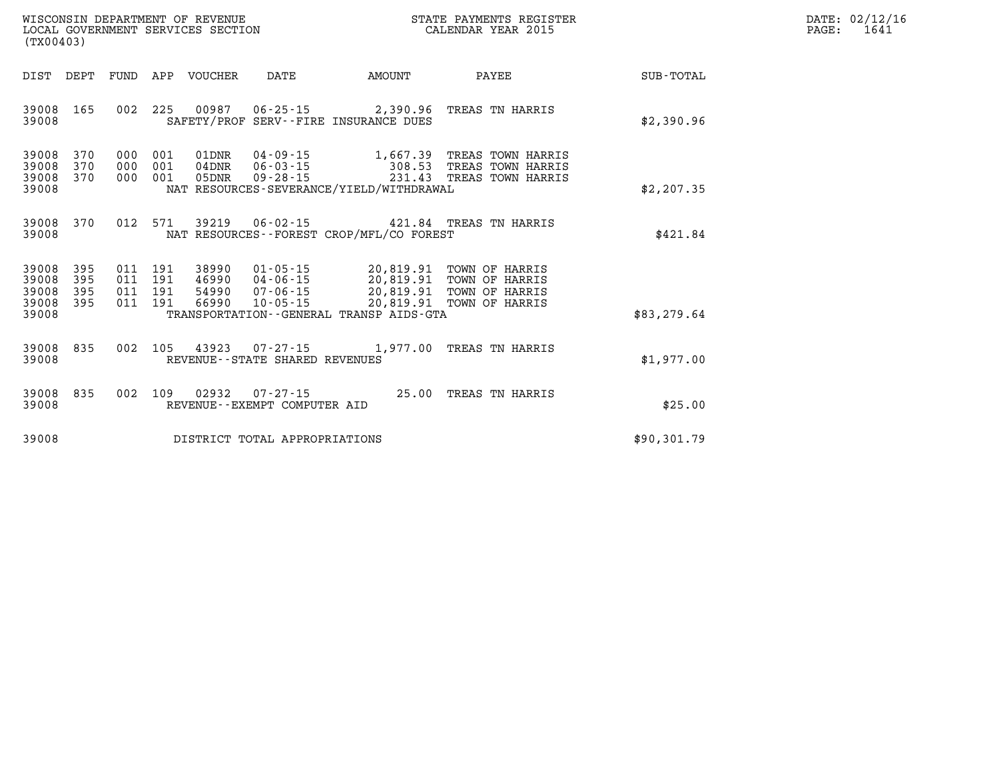| $\texttt{DATE}$ : | 02/12/16 |
|-------------------|----------|
| PAGE:             | 1641     |

| WISCONSIN DEPARTMENT OF REVENUE<br>(TX00403)                                                      | LOCAL GOVERNMENT SERVICES SECTION                                                                                                                                               |                                     | STATE PAYMENTS REGISTER<br>CALENDAR YEAR 2015                                  |                  |
|---------------------------------------------------------------------------------------------------|---------------------------------------------------------------------------------------------------------------------------------------------------------------------------------|-------------------------------------|--------------------------------------------------------------------------------|------------------|
| DIST<br>DEPT<br>FUND                                                                              | APP<br><b>VOUCHER</b><br><b>DATE</b>                                                                                                                                            | AMOUNT                              | PAYEE                                                                          | <b>SUB-TOTAL</b> |
| 165<br>002<br>39008<br>39008                                                                      | 225<br>00987<br>$06 - 25 - 15$ 2,390.96<br>SAFETY/PROF SERV--FIRE INSURANCE DUES                                                                                                |                                     | TREAS TN HARRIS                                                                | \$2,390.96       |
| 370<br>39008<br>000<br>370<br>000<br>39008<br>39008<br>370<br>000<br>39008                        | 001<br>01DNR<br>04-09-15<br>001<br>$06 - 03 - 15$<br>$04$ DNR<br>001<br>05DNR<br>$09 - 28 - 15$<br>NAT RESOURCES-SEVERANCE/YIELD/WITHDRAWAL                                     | 231.43                              | 1,667.39 TREAS TOWN HARRIS<br>308.53 TREAS TOWN HARRIS<br>TREAS TOWN HARRIS    | \$2, 207.35      |
| 012<br>39008<br>370<br>39008                                                                      | 571<br>39219<br>$06 - 02 - 15$<br>NAT RESOURCES - - FOREST CROP/MFL/CO FOREST                                                                                                   |                                     | 421.84 TREAS TN HARRIS                                                         | \$421.84         |
| 39008<br>395<br>011<br>395<br>011<br>39008<br>395<br>39008<br>011<br>395<br>011<br>39008<br>39008 | 191<br>38990<br>$01 - 05 - 15$<br>191<br>$04 - 06 - 15$<br>46990<br>191<br>54990<br>$07 - 06 - 15$<br>191<br>66990<br>$10 - 05 - 15$<br>TRANSPORTATION--GENERAL TRANSP AIDS-GTA | 20,819.91<br>20,819.91<br>20,819.91 | TOWN OF HARRIS<br>TOWN OF HARRIS<br>20,819.91 TOWN OF HARRIS<br>TOWN OF HARRIS | \$83,279.64      |
| 002<br>39008<br>835<br>39008                                                                      | 105<br>43923<br>$07 - 27 - 15$<br>REVENUE - - STATE SHARED REVENUES                                                                                                             | 1,977.00                            | TREAS TN HARRIS                                                                | \$1,977.00       |
| 835<br>002<br>39008<br>39008                                                                      | 109<br>02932<br>$07 - 27 - 15$<br>REVENUE--EXEMPT COMPUTER AID                                                                                                                  | 25.00                               | TREAS TN HARRIS                                                                | \$25.00          |
| 39008                                                                                             | DISTRICT TOTAL APPROPRIATIONS                                                                                                                                                   |                                     |                                                                                | \$90,301.79      |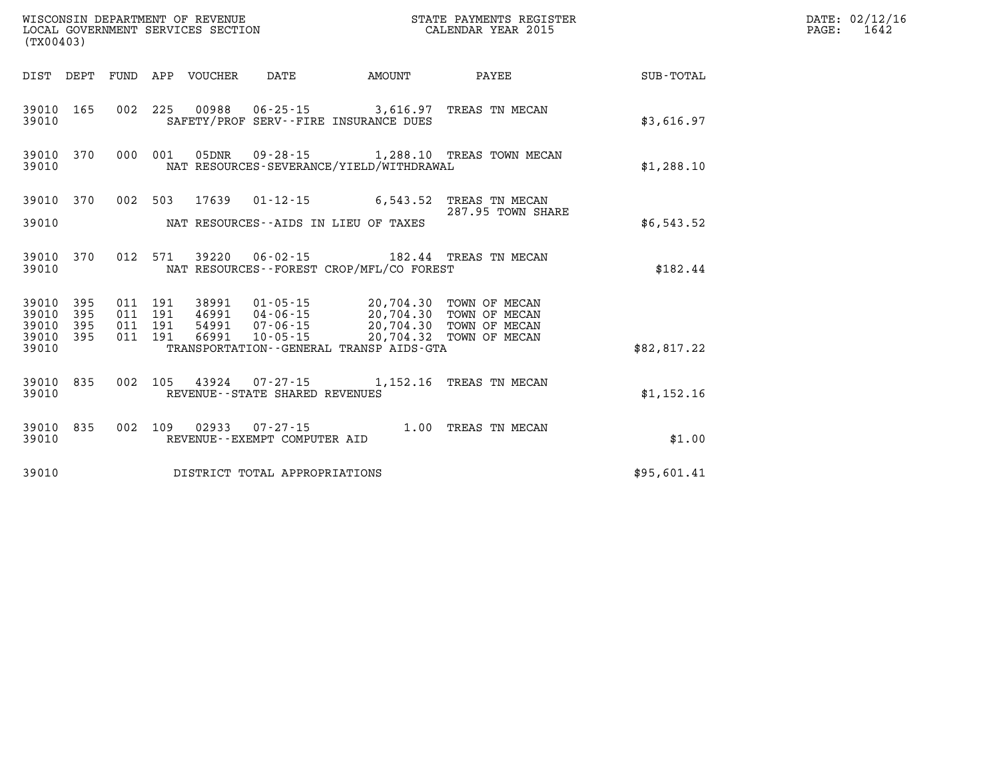| (TX00403)                                    |           |                                          |                                 | WISCONSIN DEPARTMENT OF REVENUE<br>LOCAL GOVERNMENT SERVICES SECTION |                                             | STATE PAYMENTS REGISTER<br>CALENDAR YEAR 2015                                                                                     |             | DATE: 02/12/16<br>$\mathtt{PAGE:}$<br>1642 |
|----------------------------------------------|-----------|------------------------------------------|---------------------------------|----------------------------------------------------------------------|---------------------------------------------|-----------------------------------------------------------------------------------------------------------------------------------|-------------|--------------------------------------------|
|                                              |           |                                          | DIST DEPT FUND APP VOUCHER DATE |                                                                      | AMOUNT                                      | PAYEE                                                                                                                             | SUB-TOTAL   |                                            |
| 39010                                        |           |                                          |                                 |                                                                      | SAFETY/PROF SERV--FIRE INSURANCE DUES       | 39010 165 002 225 00988 06-25-15 3,616.97 TREAS TN MECAN                                                                          | \$3,616.97  |                                            |
| 39010 370<br>39010                           |           |                                          |                                 |                                                                      | NAT RESOURCES-SEVERANCE/YIELD/WITHDRAWAL    | 000 001 05DNR 09-28-15 1,288.10 TREAS TOWN MECAN                                                                                  | \$1,288.10  |                                            |
| 39010                                        | 39010 370 |                                          |                                 | NAT RESOURCES--AIDS IN LIEU OF TAXES                                 |                                             | 002 503 17639 01-12-15 6,543.52 TREAS TN MECAN<br>287.95 TOWN SHARE                                                               | \$6,543.52  |                                            |
| 39010                                        | 39010 370 |                                          |                                 |                                                                      | NAT RESOURCES - - FOREST CROP/MFL/CO FOREST | 012 571 39220 06-02-15 182.44 TREAS TN MECAN                                                                                      | \$182.44    |                                            |
| 39010 395<br>39010<br>39010 395<br>39010 395 | 395       | 011 191<br>011 191<br>011 191<br>011 191 | 66991                           |                                                                      | 10-05-15 20,704.32 TOWN OF MECAN            | 38991  01-05-15  20,704.30 TOWN OF MECAN<br>46991  04-06-15  20,704.30 TOWN OF MECAN<br>54991  07-06-15  20,704.30  TOWN OF MECAN |             |                                            |
| 39010                                        |           |                                          |                                 |                                                                      | TRANSPORTATION--GENERAL TRANSP AIDS-GTA     |                                                                                                                                   | \$82,817.22 |                                            |
| 39010                                        | 39010 835 |                                          |                                 | REVENUE - - STATE SHARED REVENUES                                    |                                             | 002 105 43924 07-27-15 1,152.16 TREAS TN MECAN                                                                                    | \$1,152.16  |                                            |
| 39010                                        | 39010 835 |                                          |                                 | REVENUE--EXEMPT COMPUTER AID                                         |                                             | 002 109 02933 07-27-15 1.00 TREAS TN MECAN                                                                                        | \$1.00      |                                            |
| 39010                                        |           |                                          |                                 | DISTRICT TOTAL APPROPRIATIONS                                        |                                             |                                                                                                                                   | \$95,601.41 |                                            |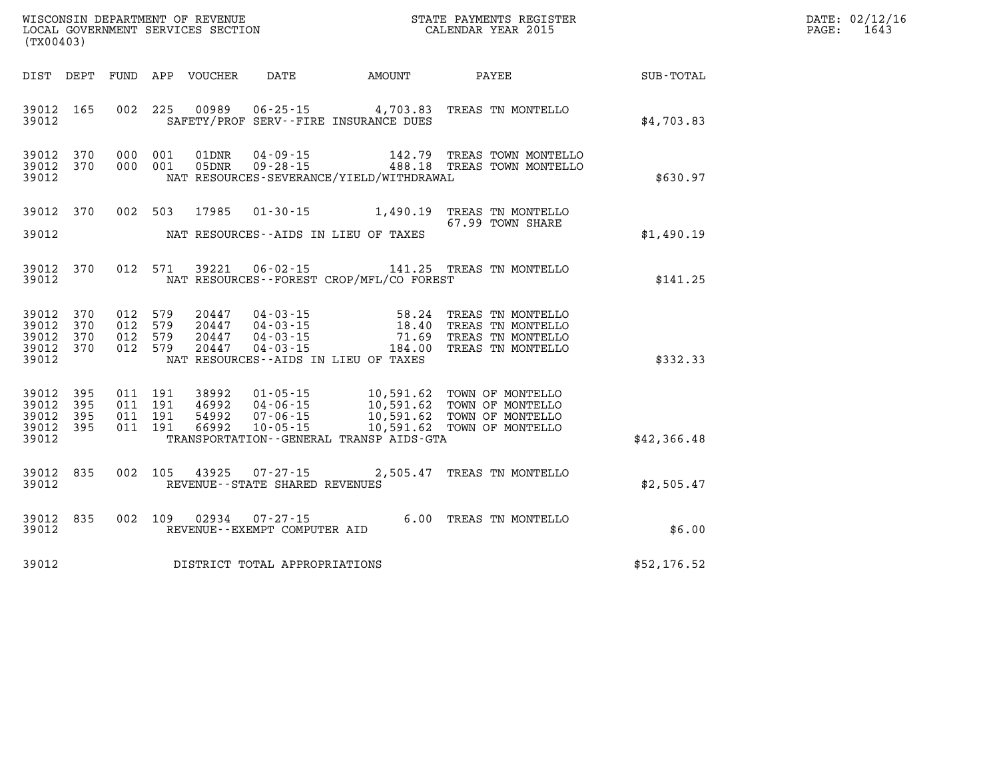| (TX00403)                                                 |     |  |               |                                |                                          | WISCONSIN DEPARTMENT OF REVENUE<br>LOCAL GOVERNMENT SERVICES SECTION<br>CALENDAR YEAR 2015                                                                                                            |             | DATE: 02/12/16<br>PAGE: 1643 |
|-----------------------------------------------------------|-----|--|---------------|--------------------------------|------------------------------------------|-------------------------------------------------------------------------------------------------------------------------------------------------------------------------------------------------------|-------------|------------------------------|
|                                                           |     |  |               |                                |                                          | DIST DEPT FUND APP VOUCHER DATE AMOUNT PAYEE TOTAL                                                                                                                                                    |             |                              |
| 39012 165<br>39012                                        |     |  |               |                                | SAFETY/PROF SERV--FIRE INSURANCE DUES    | 002 225 00989 06-25-15 4,703.83 TREAS TN MONTELLO                                                                                                                                                     | \$4,703.83  |                              |
| 39012 370<br>39012 370<br>39012                           |     |  |               |                                | NAT RESOURCES-SEVERANCE/YIELD/WITHDRAWAL | 000 001 01DNR 04-09-15 142.79 TREAS TOWN MONTELLO<br>000 001 05DNR 09-28-15 488.18 TREAS TOWN MONTELLO                                                                                                | \$630.97    |                              |
| 39012 370<br>39012                                        |     |  |               |                                | NAT RESOURCES--AIDS IN LIEU OF TAXES     | 002 503 17985 01-30-15 1,490.19 TREAS TN MONTELLO<br>67.99 TOWN SHARE<br>67.99 TOWN SHARE                                                                                                             | \$1,490.19  |                              |
| 39012 370<br>39012                                        |     |  |               |                                | NAT RESOURCES--FOREST CROP/MFL/CO FOREST | 012 571 39221 06-02-15 141.25 TREAS TN MONTELLO                                                                                                                                                       | \$141.25    |                              |
| 39012 370<br>39012 370<br>39012 370<br>39012 370<br>39012 |     |  |               |                                | NAT RESOURCES--AIDS IN LIEU OF TAXES     | 012 579 20447 04-03-15 58.24 TREAS TN MONTELLO<br>012 579 20447 04-03-15 18.40 TREAS TN MONTELLO<br>012 579 20447 04-03-15 71.69 TREAS TN MONTELLO<br>012 579 20447 04-03-15 184.00 TREAS TN MONTELLO | \$332.33    |                              |
| 39012 395<br>39012<br>39012 395<br>39012 395<br>39012     | 395 |  |               |                                | TRANSPORTATION--GENERAL TRANSP AIDS-GTA  |                                                                                                                                                                                                       | \$42,366.48 |                              |
| 39012 835<br>39012                                        |     |  | 002 105 43925 | REVENUE--STATE SHARED REVENUES |                                          | 07-27-15 2,505.47 TREAS TN MONTELLO                                                                                                                                                                   | \$2,505.47  |                              |
| 39012 835<br>39012                                        |     |  | 002 109 02934 | REVENUE--EXEMPT COMPUTER AID   |                                          | 07-27-15 6.00 TREAS TN MONTELLO                                                                                                                                                                       | \$6.00      |                              |
| 39012                                                     |     |  |               | DISTRICT TOTAL APPROPRIATIONS  |                                          |                                                                                                                                                                                                       | \$52,176.52 |                              |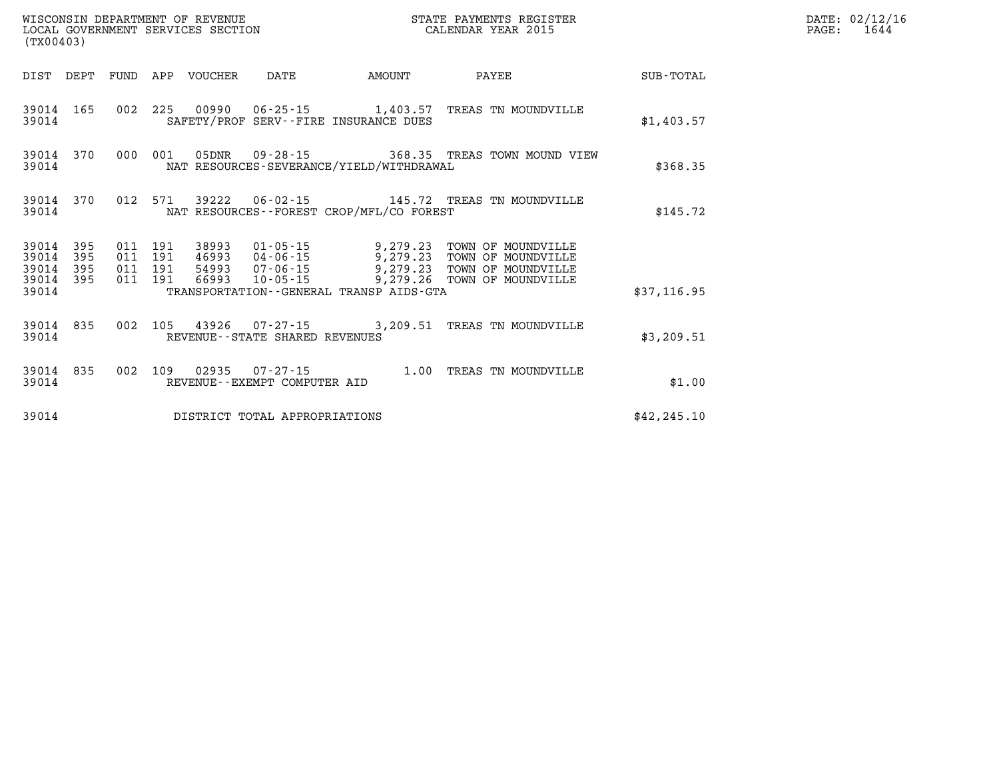| (TX00403)               |                   |                   |                   | WISCONSIN DEPARTMENT OF REVENUE<br>LOCAL GOVERNMENT SERVICES SECTION |                                                     |                                                                  | STATE PAYMENTS REGISTER<br>CALENDAR YEAR 2015                  |                  |
|-------------------------|-------------------|-------------------|-------------------|----------------------------------------------------------------------|-----------------------------------------------------|------------------------------------------------------------------|----------------------------------------------------------------|------------------|
| DIST                    | DEPT              | FUND              | APP               | VOUCHER                                                              | DATE                                                | AMOUNT                                                           | PAYEE                                                          | <b>SUB-TOTAL</b> |
| 39014<br>39014          | 165               | 002               | 225               |                                                                      |                                                     | 00990 06-25-15 1,403.57<br>SAFETY/PROF SERV--FIRE INSURANCE DUES | TREAS TN MOUNDVILLE                                            | \$1,403.57       |
| 39014<br>39014          | 370               | 000               | 001               | 05DNR                                                                |                                                     | NAT RESOURCES-SEVERANCE/YIELD/WITHDRAWAL                         | 09-28-15 368.35 TREAS TOWN MOUND VIEW                          | \$368.35         |
| 39014<br>39014          | 370               | 012               | 571               | 39222                                                                |                                                     | NAT RESOURCES - - FOREST CROP/MFL/CO FOREST                      | 06-02-15 145.72 TREAS TN MOUNDVILLE                            | \$145.72         |
| 39014<br>39014<br>39014 | 395<br>395<br>395 | 011<br>011<br>011 | 191<br>191<br>191 | 38993<br>46993<br>54993                                              | 01-05-15<br>04-06-15<br>07-06-15                    | 9,279.23<br>9,279.23<br>9,279.23                                 | TOWN OF MOUNDVILLE<br>TOWN OF MOUNDVILLE<br>TOWN OF MOUNDVILLE |                  |
| 39014<br>39014          | 395               | 011               | 191               | 66993                                                                | $10 - 05 - 15$                                      | 9,279.26<br>TRANSPORTATION - - GENERAL TRANSP AIDS - GTA         | TOWN OF MOUNDVILLE                                             | \$37,116.95      |
| 39014<br>39014          | 835               | 002               | 105               | 43926                                                                | $07 - 27 - 15$<br>REVENUE - - STATE SHARED REVENUES | 3,209.51                                                         | TREAS TN MOUNDVILLE                                            | \$3,209.51       |
| 39014<br>39014          | 835               | 002               | 109               | 02935                                                                | $07 - 27 - 15$<br>REVENUE--EXEMPT COMPUTER AID      | 1.00                                                             | TREAS TN MOUNDVILLE                                            | \$1.00           |
| 39014                   |                   |                   |                   |                                                                      | DISTRICT TOTAL APPROPRIATIONS                       |                                                                  |                                                                | \$42, 245.10     |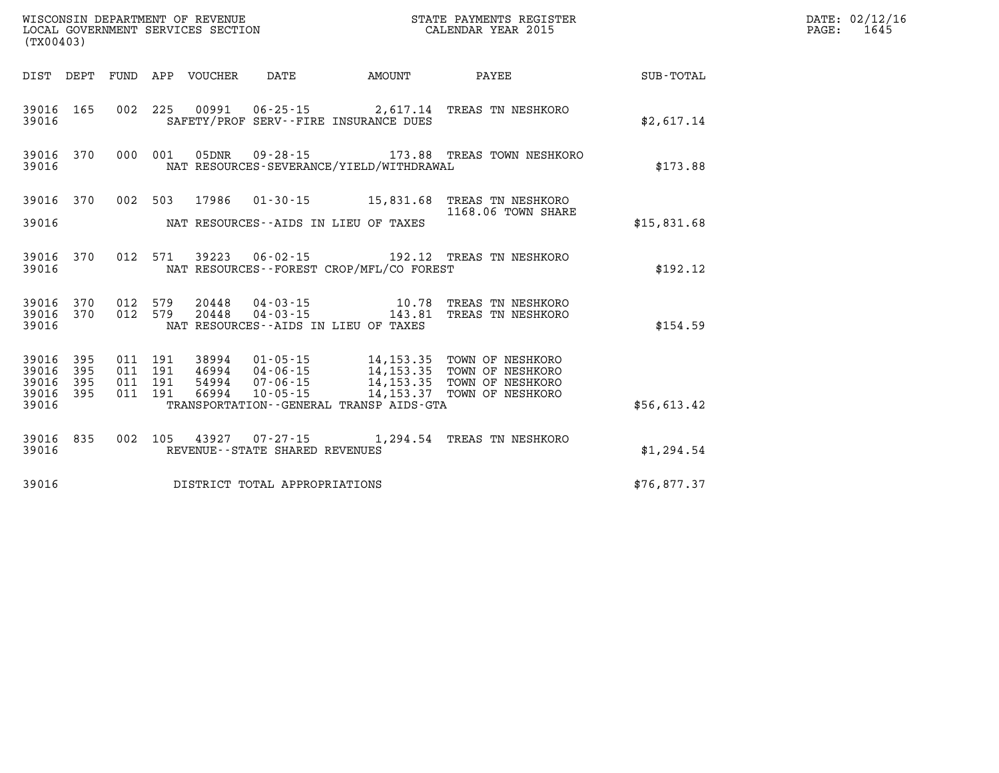| (TX00403)                                 |                          |                          |                          | WISCONSIN DEPARTMENT OF REVENUE<br>LOCAL GOVERNMENT SERVICES SECTION |                                                                            |                                                                                                  | STATE PAYMENTS REGISTER<br>CALENDAR YEAR 2015                                |                  |
|-------------------------------------------|--------------------------|--------------------------|--------------------------|----------------------------------------------------------------------|----------------------------------------------------------------------------|--------------------------------------------------------------------------------------------------|------------------------------------------------------------------------------|------------------|
| DIST                                      | DEPT                     | FUND                     | APP                      | VOUCHER                                                              | DATE                                                                       | AMOUNT                                                                                           | PAYEE                                                                        | <b>SUB-TOTAL</b> |
| 39016<br>39016                            | 165                      | 002                      | 225                      |                                                                      | 00991 06-25-15                                                             | 2,617.14<br>SAFETY/PROF SERV--FIRE INSURANCE DUES                                                | TREAS TN NESHKORO                                                            | \$2,617.14       |
| 39016<br>39016                            | 370                      | 000                      | 001                      | 05DNR                                                                |                                                                            | NAT RESOURCES-SEVERANCE/YIELD/WITHDRAWAL                                                         | 09-28-15 173.88 TREAS TOWN NESHKORO                                          | \$173.88         |
| 39016                                     | 370                      | 002                      | 503                      | 17986                                                                | $01 - 30 - 15$                                                             | 15,831.68                                                                                        | TREAS TN NESHKORO<br>1168.06 TOWN SHARE                                      |                  |
| 39016                                     |                          |                          |                          |                                                                      | NAT RESOURCES--AIDS IN LIEU OF TAXES                                       |                                                                                                  |                                                                              | \$15,831.68      |
| 39016<br>39016                            | 370                      | 012                      | 571                      | 39223                                                                |                                                                            | NAT RESOURCES - - FOREST CROP/MFL/CO FOREST                                                      | 06-02-15 192.12 TREAS TN NESHKORO                                            | \$192.12         |
| 39016<br>39016<br>39016                   | 370<br>370               | 012<br>012               | 579<br>579               | 20448<br>20448                                                       | $04 - 03 - 15$<br>$04 - 03 - 15$<br>NAT RESOURCES -- AIDS IN LIEU OF TAXES | 10.78<br>143.81                                                                                  | TREAS TN NESHKORO<br>TREAS TN NESHKORO                                       | \$154.59         |
| 39016<br>39016<br>39016<br>39016<br>39016 | 395<br>395<br>395<br>395 | 011<br>011<br>011<br>011 | 191<br>191<br>191<br>191 | 38994<br>46994<br>54994<br>66994                                     | $01 - 05 - 15$<br>$04 - 06 - 15$<br>07-06-15<br>$10 - 05 - 15$             | 14,153.35<br>14, 153. 35<br>14, 153.35<br>14, 153. 37<br>TRANSPORTATION--GENERAL TRANSP AIDS-GTA | TOWN OF NESHKORO<br>TOWN OF NESHKORO<br>TOWN OF NESHKORO<br>TOWN OF NESHKORO | \$56,613.42      |
|                                           |                          |                          |                          |                                                                      |                                                                            |                                                                                                  |                                                                              |                  |
| 39016<br>39016                            | 835                      | 002                      | 105                      | 43927                                                                | $07 - 27 - 15$<br>REVENUE - - STATE SHARED REVENUES                        |                                                                                                  | 1,294.54 TREAS TN NESHKORO                                                   | \$1,294.54       |
| 39016                                     |                          |                          |                          |                                                                      | DISTRICT TOTAL APPROPRIATIONS                                              |                                                                                                  |                                                                              | \$76,877.37      |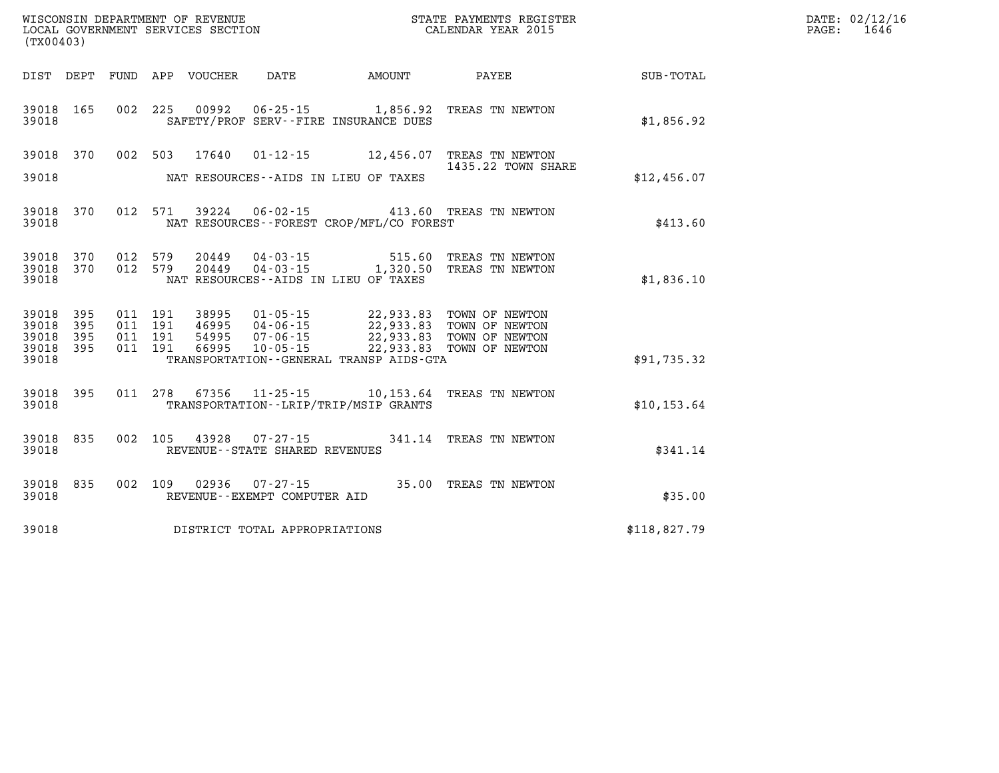| (TX00403)                                 |                          |                                          |                                 |                                |                                          |                                                                                                                                               | DATE: 02/12/16<br>$\mathtt{PAGE:}$<br>1646 |  |
|-------------------------------------------|--------------------------|------------------------------------------|---------------------------------|--------------------------------|------------------------------------------|-----------------------------------------------------------------------------------------------------------------------------------------------|--------------------------------------------|--|
|                                           |                          |                                          | DIST DEPT FUND APP VOUCHER DATE |                                |                                          |                                                                                                                                               | AMOUNT PAYEE SUB-TOTAL                     |  |
| 39018                                     | 39018 165                |                                          |                                 |                                | SAFETY/PROF SERV--FIRE INSURANCE DUES    | 002 225 00992 06-25-15 1,856.92 TREAS TN NEWTON                                                                                               | \$1,856.92                                 |  |
| 39018                                     |                          |                                          |                                 |                                | NAT RESOURCES--AIDS IN LIEU OF TAXES     | 39018 370 002 503 17640 01-12-15 12,456.07 TREAS TN NEWTON<br>1435.22 TOWN SHARE                                                              | \$12,456.07                                |  |
| 39018                                     |                          |                                          |                                 |                                | NAT RESOURCES--FOREST CROP/MFL/CO FOREST | 39018 370 012 571 39224 06-02-15 413.60 TREAS TN NEWTON                                                                                       | \$413.60                                   |  |
| 39018                                     |                          |                                          |                                 |                                | NAT RESOURCES--AIDS IN LIEU OF TAXES     | $39018$ $370$ $012$ $579$ $20449$ $04-03-15$ $515.60$ TREAS TN NEWTON $39018$ $370$ $012$ $579$ $20449$ $04-03-15$ $1,320.50$ TREAS TN NEWTON | \$1,836.10                                 |  |
| 39018<br>39018<br>39018<br>39018<br>39018 | 395<br>395<br>395<br>395 | 011 191<br>011 191<br>011 191<br>011 191 |                                 |                                | TRANSPORTATION--GENERAL TRANSP AIDS-GTA  | 38995  01-05-15  22,933.83  TOWN OF NEWTON                                                                                                    | \$91,735.32                                |  |
| 39018                                     |                          |                                          |                                 |                                | TRANSPORTATION - - LRIP/TRIP/MSIP GRANTS | 39018 395 011 278 67356 11-25-15 10,153.64 TREAS TN NEWTON                                                                                    | \$10, 153.64                               |  |
| 39018                                     | 39018 835                |                                          |                                 | REVENUE--STATE SHARED REVENUES |                                          | 002 105 43928 07-27-15 341.14 TREAS TN NEWTON                                                                                                 | \$341.14                                   |  |
| 39018                                     |                          |                                          |                                 | REVENUE--EXEMPT COMPUTER AID   |                                          | 39018 835 002 109 02936 07-27-15 35.00 TREAS TN NEWTON                                                                                        | \$35.00                                    |  |
| 39018                                     |                          |                                          |                                 | DISTRICT TOTAL APPROPRIATIONS  |                                          |                                                                                                                                               | \$118,827.79                               |  |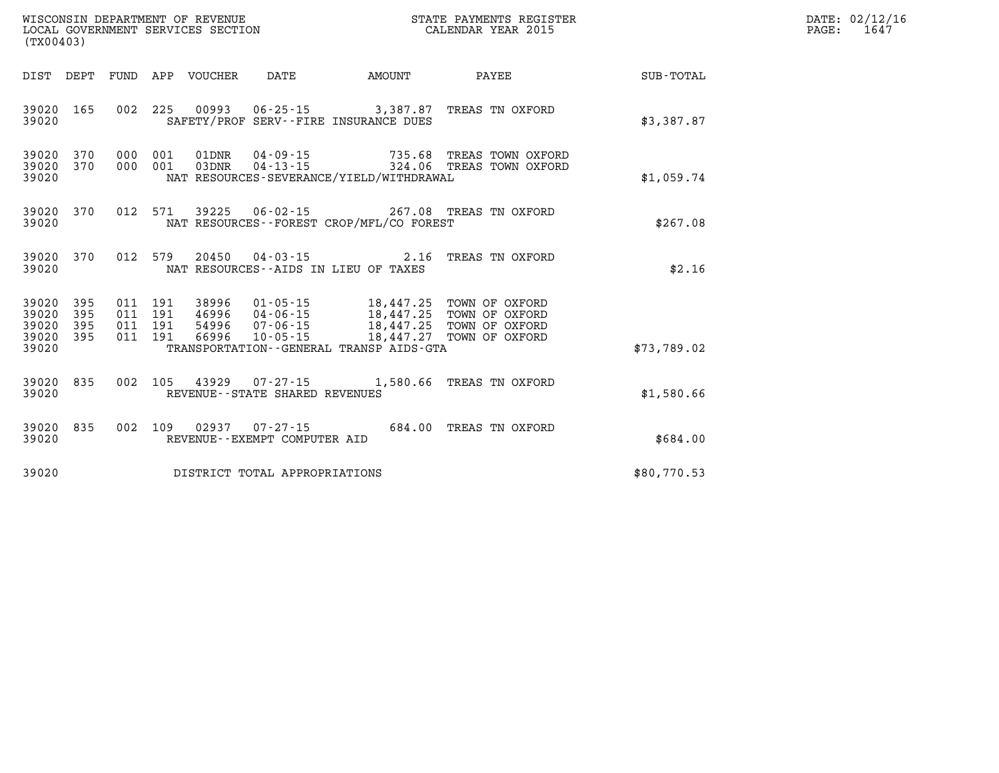| WISCONSIN DEPARTMENT OF REVENUE      | PAYMENTS REGISTER<br>3TATE | DATE: | 02/12/16             |
|--------------------------------------|----------------------------|-------|----------------------|
| GOVERNMENT SERVICES SECTION<br>LOCAL | CALENDAR YEAR 2015         | PAGE  | $\sim$ $\sim$<br>164 |

| (TX00403)                                     |                   |  |                                     | LOCAL GOVERNMENT SERVICES SECTION                                                                                                                                                                                                                        | CALENDAR YEAR 2015                                                                                 |             | PAGE: | 1647 |
|-----------------------------------------------|-------------------|--|-------------------------------------|----------------------------------------------------------------------------------------------------------------------------------------------------------------------------------------------------------------------------------------------------------|----------------------------------------------------------------------------------------------------|-------------|-------|------|
|                                               |                   |  |                                     | DIST DEPT FUND APP VOUCHER DATE AMOUNT                                                                                                                                                                                                                   | PAYEE                                                                                              | SUB-TOTAL   |       |      |
| 39020 165<br>39020                            |                   |  |                                     | SAFETY/PROF SERV--FIRE INSURANCE DUES                                                                                                                                                                                                                    | 002 225 00993 06-25-15 3,387.87 TREAS TN OXFORD                                                    | \$3,387.87  |       |      |
| 39020 370<br>39020 370<br>39020               |                   |  |                                     | NAT RESOURCES-SEVERANCE/YIELD/WITHDRAWAL                                                                                                                                                                                                                 | 000 001 01DNR 04-09-15 735.68 TREAS TOWN OXFORD<br>000 001 03DNR 04-13-15 324.06 TREAS TOWN OXFORD | \$1,059.74  |       |      |
| 39020 370<br>39020                            |                   |  |                                     | NAT RESOURCES - - FOREST CROP/MFL/CO FOREST                                                                                                                                                                                                              | 012 571 39225 06-02-15 267.08 TREAS TN OXFORD                                                      | \$267.08    |       |      |
| 39020 370<br>39020                            |                   |  |                                     | NAT RESOURCES--AIDS IN LIEU OF TAXES                                                                                                                                                                                                                     | 012 579 20450 04-03-15 2.16 TREAS TN OXFORD                                                        | \$2.16      |       |      |
| 39020<br>39020<br>39020<br>39020 395<br>39020 | 395<br>395<br>395 |  |                                     | 011  191  38996  01-05-15  18,447.25  TOWN OF OXFORD<br>011 191 46996 04-06-15 18,447.25 TOWN OF OXFORD<br>011 191 54996 07-06-15 18,447.25 TOWN OF OXFORD<br>011 191 66996 10-05-15 18,447.27 TOWN OF OXFORD<br>TRANSPORTATION--GENERAL TRANSP AIDS-GTA |                                                                                                    | \$73,789.02 |       |      |
| 39020 835<br>39020                            |                   |  | REVENUE--STATE SHARED REVENUES      |                                                                                                                                                                                                                                                          | 002 105 43929 07-27-15 1,580.66 TREAS TN OXFORD                                                    | \$1,580.66  |       |      |
| 39020<br>39020                                | 835               |  | REVENUE--EXEMPT COMPUTER AID        |                                                                                                                                                                                                                                                          | 002 109 02937 07-27-15 684.00 TREAS TN OXFORD                                                      | \$684.00    |       |      |
|                                               |                   |  | 39020 DISTRICT TOTAL APPROPRIATIONS |                                                                                                                                                                                                                                                          |                                                                                                    | \$80,770.53 |       |      |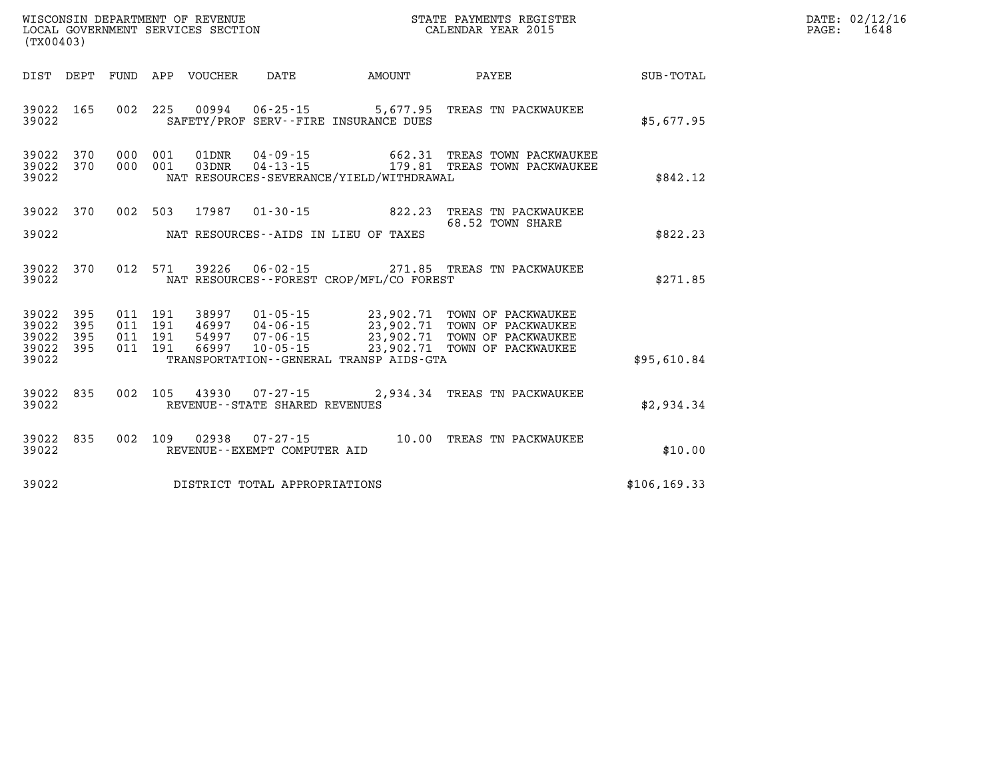| (TX00403)                                |            |  |                  |                                   |                                             | %WISCONSIN DEPARTMENT OF REVENUE $$\tt STATE$ PAYMENTS REGISTER LOCAL GOVERNMENT SERVICES SECTION $$\tt CALENDAR$ YEAR 2015                                                                                                                                                                                                                | DATE: 02/12/16<br>1648<br>$\mathtt{PAGE}$ : |  |
|------------------------------------------|------------|--|------------------|-----------------------------------|---------------------------------------------|--------------------------------------------------------------------------------------------------------------------------------------------------------------------------------------------------------------------------------------------------------------------------------------------------------------------------------------------|---------------------------------------------|--|
| DIST DEPT                                |            |  | FUND APP VOUCHER | DATE                              | <b>AMOUNT</b>                               | <b>PAYEE</b> PAYEE                                                                                                                                                                                                                                                                                                                         | SUB-TOTAL                                   |  |
| 39022 165<br>39022                       |            |  |                  |                                   | SAFETY/PROF SERV--FIRE INSURANCE DUES       | 002 225 00994 06-25-15 5,677.95 TREAS TN PACKWAUKEE                                                                                                                                                                                                                                                                                        | \$5,677.95                                  |  |
| 39022 370<br>39022 370<br>39022          |            |  |                  |                                   | NAT RESOURCES-SEVERANCE/YIELD/WITHDRAWAL    | $\begin{array}{cccc} 000 & 001 & 01 \text{DNR} & 04 \cdot 09 \cdot 15 & 662.31 & \text{TREAS TOWN PACKWAUKEE} \\ 000 & 001 & 03 \text{DNR} & 04 \cdot 13 \cdot 15 & 179.81 & \text{TREAS TOWN PACKWAUKEE} \end{array}$                                                                                                                     | \$842.12                                    |  |
| 39022 370<br>39022                       |            |  |                  |                                   | NAT RESOURCES--AIDS IN LIEU OF TAXES        | 002 503 17987 01-30-15 822.23 TREAS TN PACKWAUKEE<br>68.52 TOWN SHARE                                                                                                                                                                                                                                                                      | \$822.23                                    |  |
| 39022 370<br>39022                       |            |  |                  |                                   | NAT RESOURCES - - FOREST CROP/MFL/CO FOREST | 012 571 39226 06-02-15 271.85 TREAS TN PACKWAUKEE                                                                                                                                                                                                                                                                                          | \$271.85                                    |  |
| 39022 395<br>39022<br>39022<br>39022 395 | 395<br>395 |  |                  |                                   |                                             | $\begin{array}{cccc} 011 & 191 & 38997 & 01\cdot 05\cdot 15 & 23\, , 902\, .71 & \text{TOWN OF PACKWAUKEE} \\ 011 & 191 & 46997 & 04\cdot 06\cdot 15 & 23\, , 902\, .71 & \text{TOWN OF PACKWAUKEE} \\ 011 & 191 & 54997 & 07\cdot 06\cdot 15 & 23\, , 902\, .71 & \text{TOWN OF PACKWAUKEE} \\ 011 & 191 & 66997 & 10\cdot 05\cdot 15 & $ |                                             |  |
| 39022                                    |            |  |                  |                                   | TRANSPORTATION--GENERAL TRANSP AIDS-GTA     |                                                                                                                                                                                                                                                                                                                                            | \$95,610.84                                 |  |
| 39022 835<br>39022                       |            |  |                  | REVENUE - - STATE SHARED REVENUES |                                             | 002 105 43930 07-27-15 2,934.34 TREAS TN PACKWAUKEE                                                                                                                                                                                                                                                                                        | \$2,934.34                                  |  |
| 39022 835<br>39022                       |            |  |                  | REVENUE--EXEMPT COMPUTER AID      |                                             | 002 109 02938 07-27-15 10.00 TREAS TN PACKWAUKEE                                                                                                                                                                                                                                                                                           | \$10.00                                     |  |
| 39022                                    |            |  |                  | DISTRICT TOTAL APPROPRIATIONS     |                                             |                                                                                                                                                                                                                                                                                                                                            | \$106, 169.33                               |  |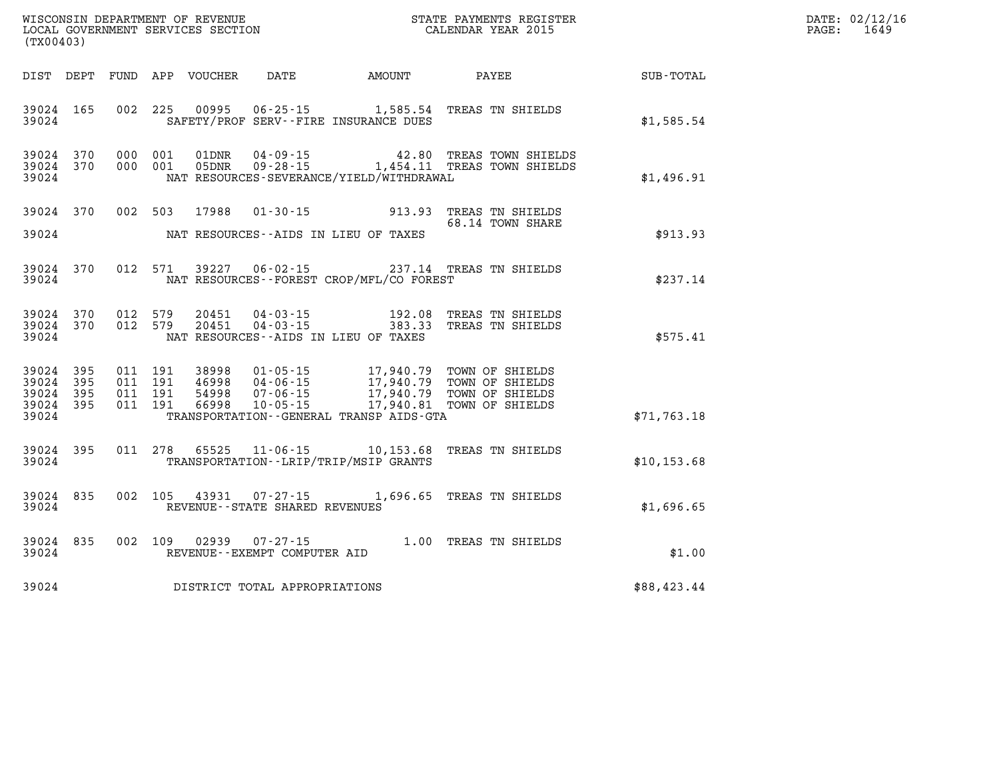| (TX00403)                                |                        |                                          |                            |                                |                                              | WISCONSIN DEPARTMENT OF REVENUE<br>LOCAL GOVERNMENT SERVICES SECTION<br>(TYO0402)                                                                                                        |              | DATE: 02/12/16<br>$\mathtt{PAGE:}$<br>1649 |
|------------------------------------------|------------------------|------------------------------------------|----------------------------|--------------------------------|----------------------------------------------|------------------------------------------------------------------------------------------------------------------------------------------------------------------------------------------|--------------|--------------------------------------------|
|                                          |                        |                                          | DIST DEPT FUND APP VOUCHER |                                |                                              | DATE AMOUNT PAYEE                                                                                                                                                                        | SUB-TOTAL    |                                            |
| 39024                                    | 39024 165              |                                          |                            |                                | SAFETY/PROF SERV--FIRE INSURANCE DUES        | 002 225 00995 06-25-15 1,585.54 TREAS TN SHIELDS                                                                                                                                         | \$1,585.54   |                                            |
| 39024 370<br>39024 370<br>39024          |                        | 000 001<br>000 001                       |                            |                                | NAT RESOURCES-SEVERANCE/YIELD/WITHDRAWAL     |                                                                                                                                                                                          | \$1,496.91   |                                            |
|                                          | 39024 370              |                                          |                            |                                |                                              | 002 503 17988 01-30-15 913.93 TREAS TN SHIELDS<br>68.14 TOWN SHARE                                                                                                                       |              |                                            |
| 39024                                    |                        |                                          |                            |                                | NAT RESOURCES--AIDS IN LIEU OF TAXES         |                                                                                                                                                                                          | \$913.93     |                                            |
| 39024                                    | 39024 370              |                                          |                            |                                | NAT RESOURCES--FOREST CROP/MFL/CO FOREST     | 012 571 39227 06-02-15 237.14 TREAS TN SHIELDS                                                                                                                                           | \$237.14     |                                            |
| 39024                                    | 39024 370<br>39024 370 | 012 579                                  |                            |                                | NAT RESOURCES--AIDS IN LIEU OF TAXES         | 012 579 20451 04-03-15 192.08 TREAS TN SHIELDS<br>012 579 20451 04-03-15 383.33 TREAS TN SHIELDS                                                                                         | \$575.41     |                                            |
| 39024<br>39024 395<br>39024 395<br>39024 | 395<br>39024 395       | 011 191<br>011 191<br>011 191<br>011 191 |                            |                                | TRANSPORTATION - - GENERAL TRANSP AIDS - GTA | 38998  01-05-15  17,940.79  TOWN OF SHIELDS<br>46998  04-06-15  17,940.79  TOWN OF SHIELDS<br>54998  07-06-15  17,940.79  TOWN OF SHIELDS<br>66998  10-05-15  17,940.81  TOWN OF SHIELDS | \$71,763.18  |                                            |
| 39024                                    | 39024 395              |                                          |                            |                                | TRANSPORTATION--LRIP/TRIP/MSIP GRANTS        | 011 278 65525 11-06-15 10,153.68 TREAS TN SHIELDS                                                                                                                                        | \$10, 153.68 |                                            |
| 39024 835<br>39024                       |                        |                                          |                            | REVENUE--STATE SHARED REVENUES |                                              | 002 105 43931 07-27-15 1,696.65 TREAS TN SHIELDS                                                                                                                                         | \$1,696.65   |                                            |
| 39024                                    | 39024 835              |                                          |                            | REVENUE--EXEMPT COMPUTER AID   |                                              | 002 109 02939 07-27-15 1.00 TREAS TN SHIELDS                                                                                                                                             | \$1.00       |                                            |
| 39024                                    |                        |                                          |                            | DISTRICT TOTAL APPROPRIATIONS  |                                              |                                                                                                                                                                                          | \$88,423.44  |                                            |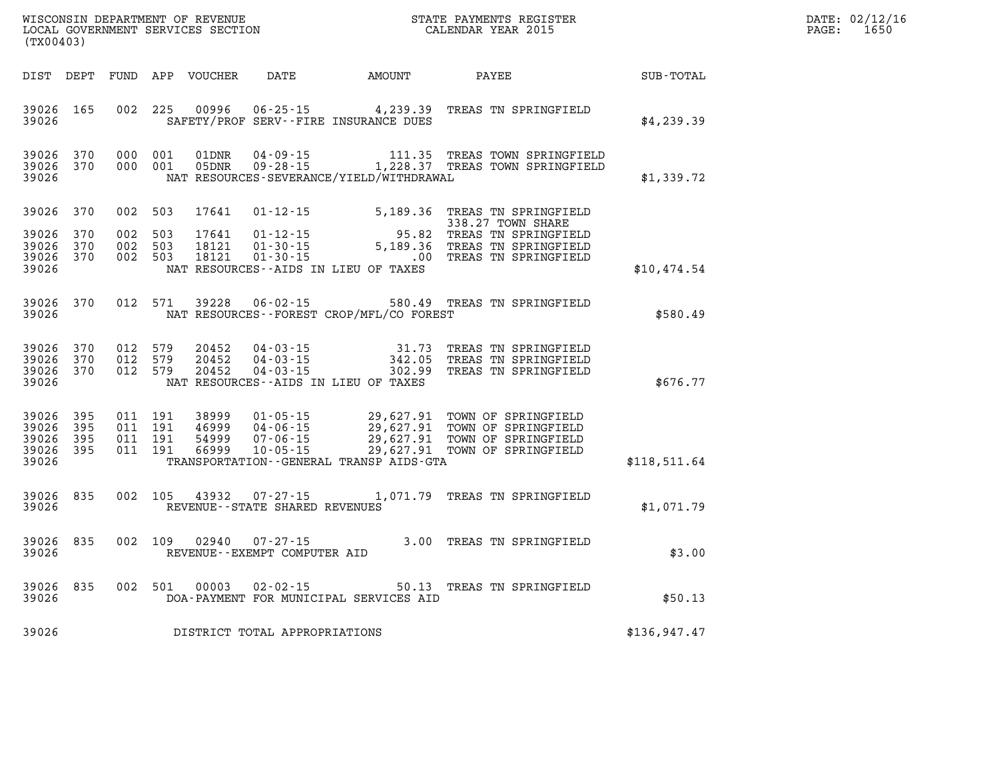| $\mathtt{DATE}$ : | 02/12/16 |
|-------------------|----------|
| PAGE:             | 1650     |

| (TX00403)                                    |                                     |  |                                          |                                 |                                          |                                                                                                                                                                                                                                                                      |  |                            |              | PAGE: | DATE: 02/12/1<br>1650 |
|----------------------------------------------|-------------------------------------|--|------------------------------------------|---------------------------------|------------------------------------------|----------------------------------------------------------------------------------------------------------------------------------------------------------------------------------------------------------------------------------------------------------------------|--|----------------------------|--------------|-------|-----------------------|
|                                              |                                     |  |                                          |                                 |                                          | DIST DEPT FUND APP VOUCHER DATE AMOUNT PAYEE                                                                                                                                                                                                                         |  |                            | SUB-TOTAL    |       |                       |
| 39026                                        | 39026 165                           |  |                                          |                                 |                                          | 002 225 00996 06-25-15 4,239.39 TREAS TN SPRINGFIELD<br>SAFETY/PROF SERV--FIRE INSURANCE DUES                                                                                                                                                                        |  |                            | \$4,239.39   |       |                       |
| 39026                                        | 39026 370<br>39026 370              |  | 000 001<br>000 001                       |                                 |                                          | NAT RESOURCES-SEVERANCE/YIELD/WITHDRAWAL                                                                                                                                                                                                                             |  |                            | \$1,339.72   |       |                       |
|                                              | 39026 370                           |  | 002 503                                  | 17641                           |                                          | $01 - 12 - 15$ $5,189.36$ TREAS TN SPRINGFIELD<br>338.27 TOWN SHARE                                                                                                                                                                                                  |  | 338.27 TOWN SHARE          |              |       |                       |
| 39026 370<br>39026 370<br>39026 370<br>39026 |                                     |  | 002 503<br>002 503<br>002 503            | 17641<br>18121<br>18121         |                                          | 338.27 TOWN SHARE<br>01-12-15 95.82 TREAS TN SPRINGFIELD<br>01-30-15 5,189.36 TREAS TN SPRINGFIELD<br>01-30-15 00 TREAS TN SPRINGFIELD<br>NAT RESOURCES -- AIDS IN LIEU OF TAXES                                                                                     |  |                            | \$10,474.54  |       |                       |
| 39026                                        | 39026 370                           |  | 012 571                                  |                                 |                                          | 39228  06-02-15  580.49  TREAS TN SPRINGFIELD<br>NAT RESOURCES--FOREST CROP/MFL/CO FOREST                                                                                                                                                                            |  |                            | \$580.49     |       |                       |
| 39026                                        | 39026 370<br>39026 370<br>39026 370 |  | 012 579<br>012 579                       | 20452<br>20452<br>012 579 20452 |                                          | NAT RESOURCES--AIDS IN LIEU OF TAXES                                                                                                                                                                                                                                 |  |                            | \$676.77     |       |                       |
| 39026<br>39026<br>39026 395<br>39026         | 395<br>395<br>39026 395             |  | 011 191<br>011 191<br>011 191<br>011 191 |                                 |                                          | 38999   01-05-15   29,627.91   TOWN OF SPRINGFIELD<br>46999   04-06-15   29,627.91   TOWN OF SPRINGFIELD<br>54999   07-06-15   29,627.91   TOWN OF SPRINGFIELD<br>66999   10-05-15   29,627.91   TOWN OF SPRINGFIELD<br>TRANSPORTATION - - GENERAL TRANSP AIDS - GTA |  |                            | \$118,511.64 |       |                       |
| 39026<br>39026                               | 835                                 |  |                                          | 002 105 43932                   | REVENUE--STATE SHARED REVENUES           | 07-27-15 1,071.79 TREAS TN SPRINGFIELD                                                                                                                                                                                                                               |  |                            | \$1,071.79   |       |                       |
| 39026                                        | 39026 835                           |  |                                          | 002 109 02940                   | 07-27-15<br>REVENUE--EXEMPT COMPUTER AID | 3.00 TREAS TN SPRINGFIELD<br>חדג אפו                                                                                                                                                                                                                                 |  |                            | \$3.00       |       |                       |
| 39026<br>39026                               | 835                                 |  | 002 501                                  | 00003                           | $02 - 02 - 15$                           | DOA-PAYMENT FOR MUNICIPAL SERVICES AID                                                                                                                                                                                                                               |  | 50.13 TREAS TN SPRINGFIELD | \$50.13      |       |                       |
| 39026                                        |                                     |  |                                          |                                 | DISTRICT TOTAL APPROPRIATIONS            |                                                                                                                                                                                                                                                                      |  |                            | \$136,947.47 |       |                       |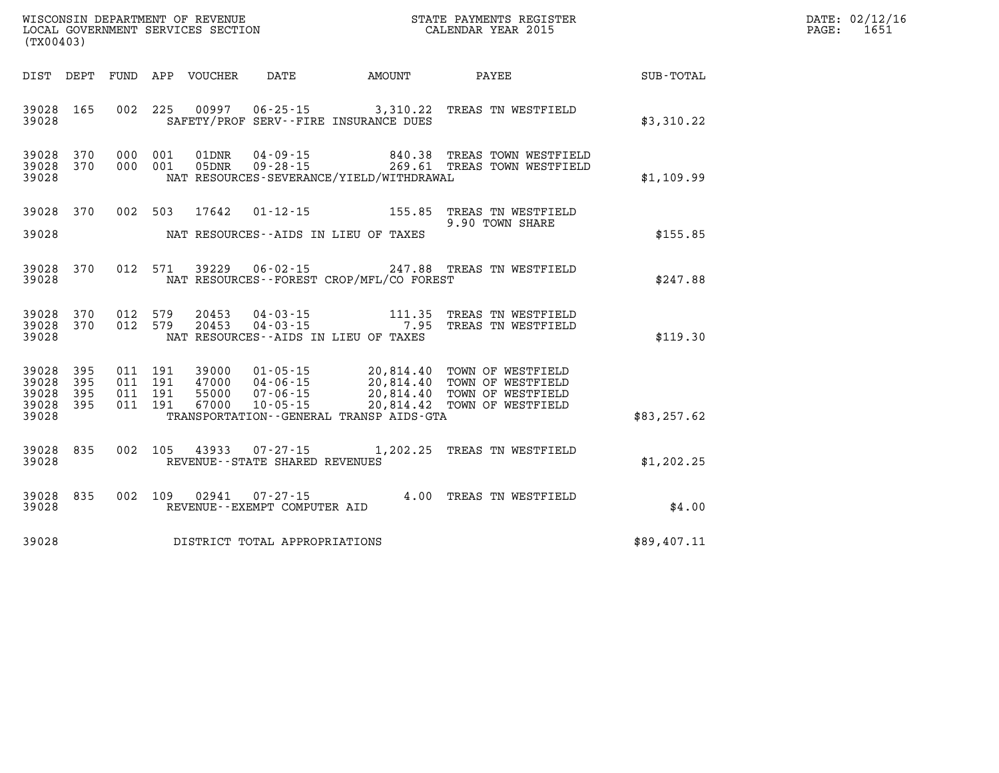| (TX00403)                                                          | WISCONSIN DEPARTMENT OF REVENUE<br>LOCAL GOVERNMENT SERVICES SECTION<br>CALENDAR YEAR 2015                                                                                                                                                                                           |                             | DATE: 02/12/16<br>1651<br>$\mathtt{PAGE:}$ |
|--------------------------------------------------------------------|--------------------------------------------------------------------------------------------------------------------------------------------------------------------------------------------------------------------------------------------------------------------------------------|-----------------------------|--------------------------------------------|
|                                                                    | DIST DEPT FUND APP VOUCHER DATE AMOUNT PAYEE TOTAL                                                                                                                                                                                                                                   |                             |                                            |
| 39028 165<br>39028                                                 | 002 225 00997 06-25-15 3,310.22 TREAS TN WESTFIELD<br>SAFETY/PROF SERV--FIRE INSURANCE DUES                                                                                                                                                                                          | \$3,310.22                  |                                            |
| 39028 370<br>39028 370<br>39028                                    | 000 001 01DNR 04-09-15 840.38 TREAS TOWN WESTFIELD<br>000 001 05DNR 09-28-15 269.61 TREAS TOWN WESTFIELD<br>NAT RESOURCES-SEVERANCE/YIELD/WITHDRAWAL                                                                                                                                 | \$1,109.99                  |                                            |
| 39028 370<br>39028                                                 | 002 503 17642<br>NAT RESOURCES--AIDS IN LIEU OF TAXES                                                                                                                                                                                                                                | 9.90 TOWN SHARE<br>\$155.85 |                                            |
| 39028 370<br>39028                                                 | 012 571 39229 06-02-15 247.88 TREAS TN WESTFIELD<br>NAT RESOURCES - FOREST CROP/MFL/CO FOREST                                                                                                                                                                                        | \$247.88                    |                                            |
| 39028<br>370<br>39028 370<br>39028                                 | 012 579 20453 04-03-15 111.35 TREAS TN WESTFIELD<br>012 579 20453 04-03-15 7.95 TREAS TN WESTFIELD<br>NAT RESOURCES--AIDS IN LIEU OF TAXES                                                                                                                                           | \$119.30                    |                                            |
| 39028<br>395<br>39028<br>395<br>39028<br>395<br>39028 395<br>39028 | 01-05-15 20,814.40 TOWN OF WESTFIELD<br>04-06-15 20,814.40 TOWN OF WESTFIELD<br>07-06-15 20,814.40 TOWN OF WESTFIELD<br>10-05-15 20,814.42 TOWN OF WESTFIELD<br>011 191<br>39000<br>011 191 47000<br>55000<br>011 191<br>011 191<br>67000<br>TRANSPORTATION--GENERAL TRANSP AIDS-GTA | \$83, 257.62                |                                            |
| 39028<br>835<br>39028                                              | 002 105 43933 07-27-15 1,202.25 TREAS TN WESTFIELD<br>REVENUE - - STATE SHARED REVENUES                                                                                                                                                                                              | \$1,202.25                  |                                            |
| 39028<br>835<br>39028                                              | $07 - 27 - 15$ 4.00 TREAS TN WESTFIELD<br>002 109 02941<br>REVENUE--EXEMPT COMPUTER AID                                                                                                                                                                                              | \$4.00                      |                                            |
| 39028                                                              | DISTRICT TOTAL APPROPRIATIONS                                                                                                                                                                                                                                                        | \$89,407.11                 |                                            |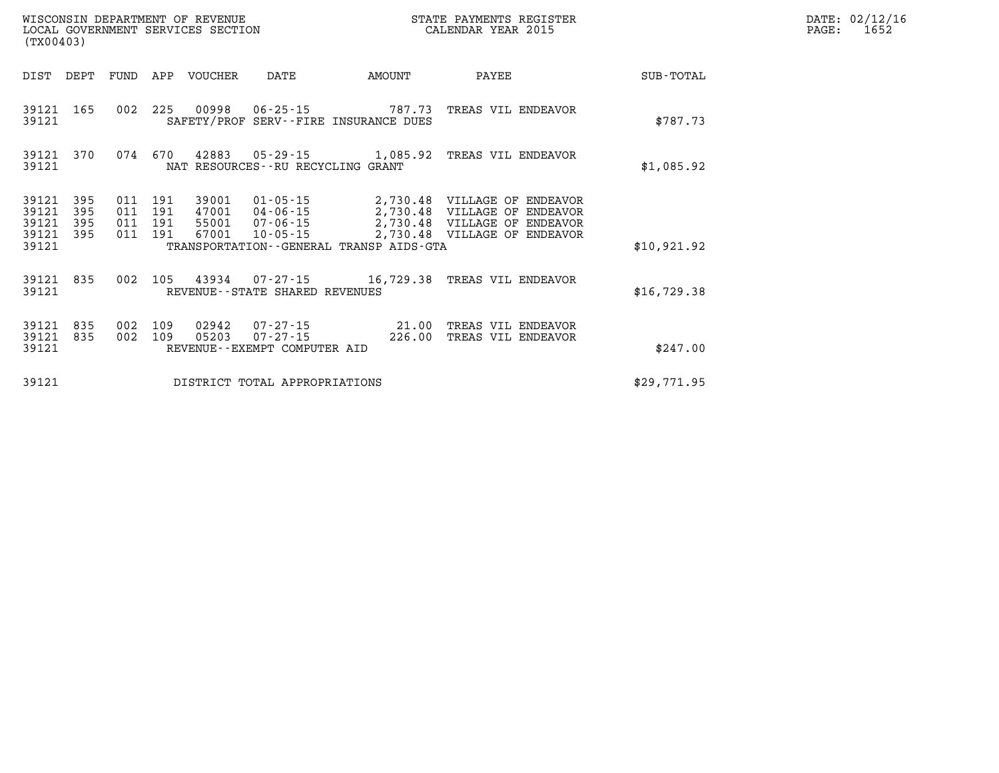| WISCONSIN DEPARTMENT OF REVENUE   | STATE PAYMENTS REGISTER |       | DATE: 02/12/16 |
|-----------------------------------|-------------------------|-------|----------------|
| LOCAL GOVERNMENT SERVICES SECTION | CALENDAR YEAR 2015      | PAGE: | 1652.          |

|                             | LOCAL GOVERNMENT SERVICES SECTION<br>(TX00403) |     |                           |                         |                                          |                                              | CALENDAR YEAR 2015                                      |              | PAGE: | 1652 |
|-----------------------------|------------------------------------------------|-----|---------------------------|-------------------------|------------------------------------------|----------------------------------------------|---------------------------------------------------------|--------------|-------|------|
| DIST                        | DEPT                                           |     |                           | FUND APP VOUCHER        | DATE                                     | AMOUNT                                       | PAYEE                                                   | SUB-TOTAL    |       |      |
| 39121 165<br>39121          |                                                |     |                           |                         |                                          | SAFETY/PROF SERV--FIRE INSURANCE DUES        | 002 225 00998 06-25-15 787.73 TREAS VIL ENDEAVOR        | \$787.73     |       |      |
| 39121 370<br>39121          |                                                | 074 | 670                       |                         | NAT RESOURCES--RU RECYCLING GRANT        |                                              | 42883  05-29-15  1,085.92  TREAS VIL ENDEAVOR           | \$1,085.92   |       |      |
| 39121<br>39121<br>39121     | 395<br>395<br>395                              | 011 | 011 191<br>191<br>011 191 | 39001<br>47001<br>55001 |                                          |                                              | 01-05-15 2,730.48 VILLAGE OF ENDEAVOR                   |              |       |      |
| 39121<br>39121              | 395                                            | 011 | 191                       | 67001                   | 10-05-15                                 | TRANSPORTATION - - GENERAL TRANSP AIDS - GTA | 2,730.48 VILLAGE OF ENDEAVOR                            | \$10,921.92  |       |      |
| 39121 835<br>39121          |                                                |     |                           |                         | REVENUE--STATE SHARED REVENUES           |                                              | 002 105 43934 07-27-15 16,729.38 TREAS VIL ENDEAVOR     | \$16, 729.38 |       |      |
| 39121<br>39121 835<br>39121 | 835                                            |     | 002 109<br>002 109        | 02942<br>05203          | 07-27-15<br>REVENUE--EXEMPT COMPUTER AID | 226.00                                       | 07-27-15 21.00 TREAS VIL ENDEAVOR<br>TREAS VIL ENDEAVOR | \$247.00     |       |      |
| 39121                       |                                                |     |                           |                         | DISTRICT TOTAL APPROPRIATIONS            |                                              |                                                         |              |       |      |
|                             |                                                |     |                           |                         |                                          |                                              |                                                         | \$29,771.95  |       |      |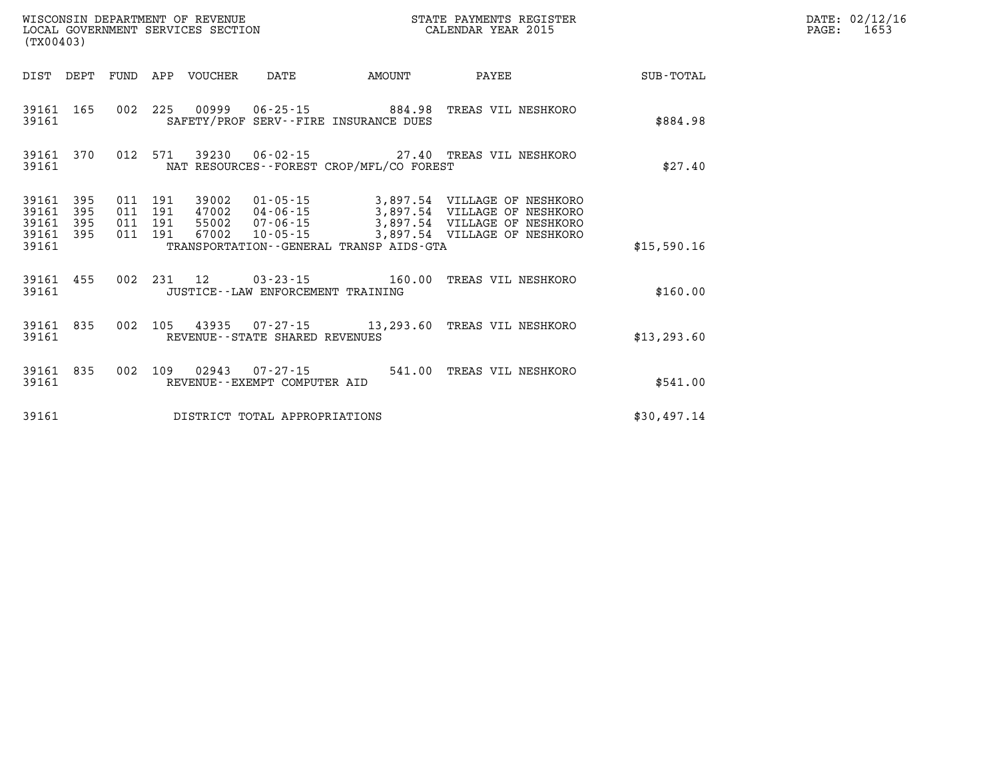| WISCONSIN DEPARTMENT OF REVENUE<br>STATE PAYMENTS REGISTER<br>LOCAL GOVERNMENT SERVICES SECTION<br>CALENDAR YEAR 2015<br>(TX00403) |                          |                          |                          |                         |                                                        |                                                                    |                                                                                                                                       |                  |
|------------------------------------------------------------------------------------------------------------------------------------|--------------------------|--------------------------|--------------------------|-------------------------|--------------------------------------------------------|--------------------------------------------------------------------|---------------------------------------------------------------------------------------------------------------------------------------|------------------|
| DIST                                                                                                                               | DEPT                     | FUND                     | APP                      | VOUCHER                 | DATE                                                   | AMOUNT                                                             | PAYEE                                                                                                                                 | <b>SUB-TOTAL</b> |
| 39161<br>39161                                                                                                                     | 165                      | 002                      | 225                      |                         |                                                        | 00999   06-25-15   884.98<br>SAFETY/PROF SERV--FIRE INSURANCE DUES | TREAS VIL NESHKORO                                                                                                                    | \$884.98         |
| 39161<br>39161                                                                                                                     | 370                      | 012                      | 571                      |                         |                                                        | NAT RESOURCES - - FOREST CROP/MFL/CO FOREST                        | 39230  06-02-15  27.40  TREAS VIL NESHKORO                                                                                            | \$27.40          |
| 39161<br>39161<br>39161<br>39161<br>39161                                                                                          | 395<br>395<br>395<br>395 | 011<br>011<br>011<br>011 | 191<br>191<br>191<br>191 | 39002<br>55002<br>67002 | 47002 04-06-15<br>$07 - 06 - 15$<br>10-05-15           | TRANSPORTATION--GENERAL TRANSP AIDS-GTA                            | 01-05-15 3,897.54 VILLAGE OF NESHKORO<br>3,897.54 VILLAGE OF NESHKORO<br>3,897.54 VILLAGE OF NESHKORO<br>3,897.54 VILLAGE OF NESHKORO | \$15,590.16      |
| 39161<br>39161                                                                                                                     | 455                      | 002                      | 231                      | 12                      | JUSTICE - - LAW ENFORCEMENT TRAINING                   | $03 - 23 - 15$ 160.00                                              | TREAS VIL NESHKORO                                                                                                                    | \$160.00         |
| 39161<br>39161                                                                                                                     | 835                      | 002                      | 105                      |                         | REVENUE--STATE SHARED REVENUES                         |                                                                    | 43935  07-27-15  13,293.60  TREAS VIL NESHKORO                                                                                        | \$13, 293.60     |
| 39161<br>39161                                                                                                                     | 835                      | 002                      | 109                      |                         | $02943$ $07 - 27 - 15$<br>REVENUE--EXEMPT COMPUTER AID | 541.00                                                             | TREAS VIL NESHKORO                                                                                                                    | \$541.00         |
| 39161                                                                                                                              |                          |                          |                          |                         | DISTRICT TOTAL APPROPRIATIONS                          |                                                                    |                                                                                                                                       | \$30,497.14      |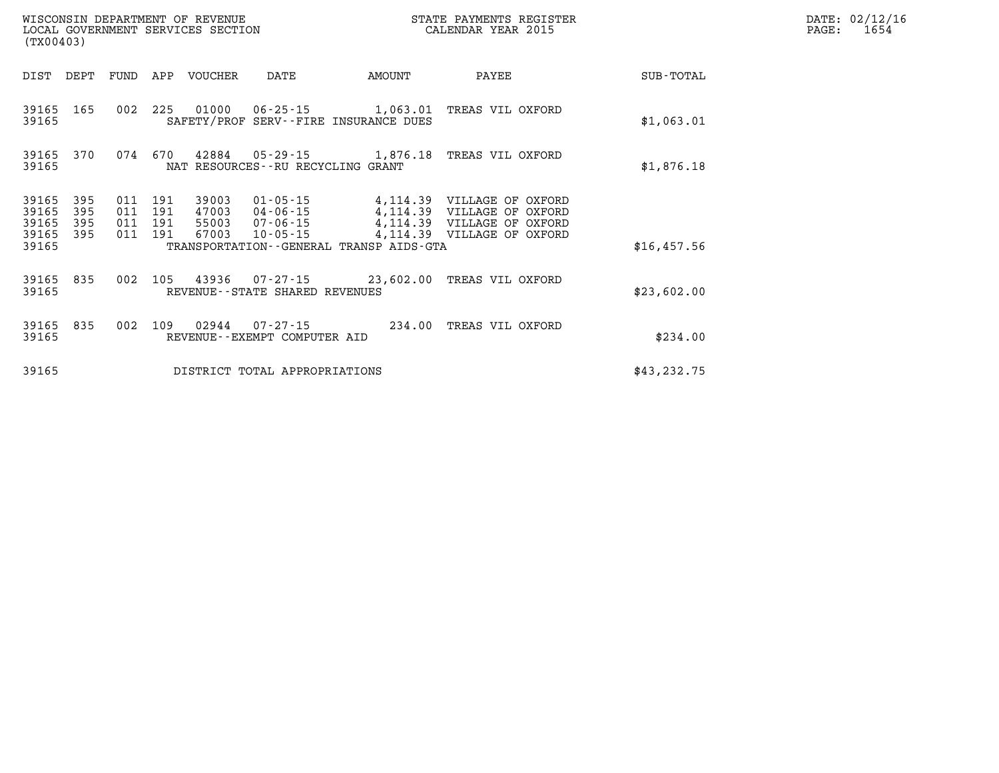| WISCONSIN DEPARTMENT OF REVENUE<br>STATE PAYMENTS REGISTER<br>LOCAL GOVERNMENT SERVICES SECTION<br>CALENDAR YEAR 2015<br>(TX00403) |            |            |            |                |                                                   |                                                          |                                                          |              |
|------------------------------------------------------------------------------------------------------------------------------------|------------|------------|------------|----------------|---------------------------------------------------|----------------------------------------------------------|----------------------------------------------------------|--------------|
| DIST                                                                                                                               | DEPT       | FUND       | APP        | VOUCHER        | DATE                                              | AMOUNT                                                   | PAYEE                                                    | SUB-TOTAL    |
| 39165<br>39165                                                                                                                     | 165        | 002        | 225        | 01000          | 06-25-15                                          | 1,063.01<br>SAFETY/PROF SERV--FIRE INSURANCE DUES        | TREAS VIL OXFORD                                         | \$1,063.01   |
| 39165<br>39165                                                                                                                     | 370        | 074        | 670        |                | NAT RESOURCES - - RU RECYCLING GRANT              | 42884  05-29-15  1,876.18                                | TREAS VIL OXFORD                                         | \$1,876.18   |
| 39165<br>39165                                                                                                                     | 395<br>395 | 011<br>011 | 191<br>191 | 39003<br>47003 | $01 - 05 - 15$<br>04-06-15                        |                                                          | 4,114.39 VILLAGE OF OXFORD<br>4,114.39 VILLAGE OF OXFORD |              |
| 39165                                                                                                                              | 395        | 011        | 191        | 55003          | $07 - 06 - 15$                                    |                                                          | 4,114.39 VILLAGE OF OXFORD                               |              |
| 39165<br>39165                                                                                                                     | 395        | 011        | 191        | 67003          | $10 - 05 - 15$                                    | 4,114.39<br>TRANSPORTATION - - GENERAL TRANSP AIDS - GTA | VILLAGE OF OXFORD                                        | \$16,457.56  |
| 39165<br>39165                                                                                                                     | 835        | 002        | 105        | 43936          | REVENUE - - STATE SHARED REVENUES                 | $07 - 27 - 15$ 23,602.00                                 | TREAS VIL OXFORD                                         | \$23,602.00  |
| 39165<br>39165                                                                                                                     | 835        | 002        | 109        | 02944          | $07 - 27 - 15$<br>REVENUE - - EXEMPT COMPUTER AID | 234.00                                                   | TREAS VIL OXFORD                                         | \$234.00     |
| 39165                                                                                                                              |            |            |            |                | DISTRICT TOTAL APPROPRIATIONS                     |                                                          |                                                          | \$43, 232.75 |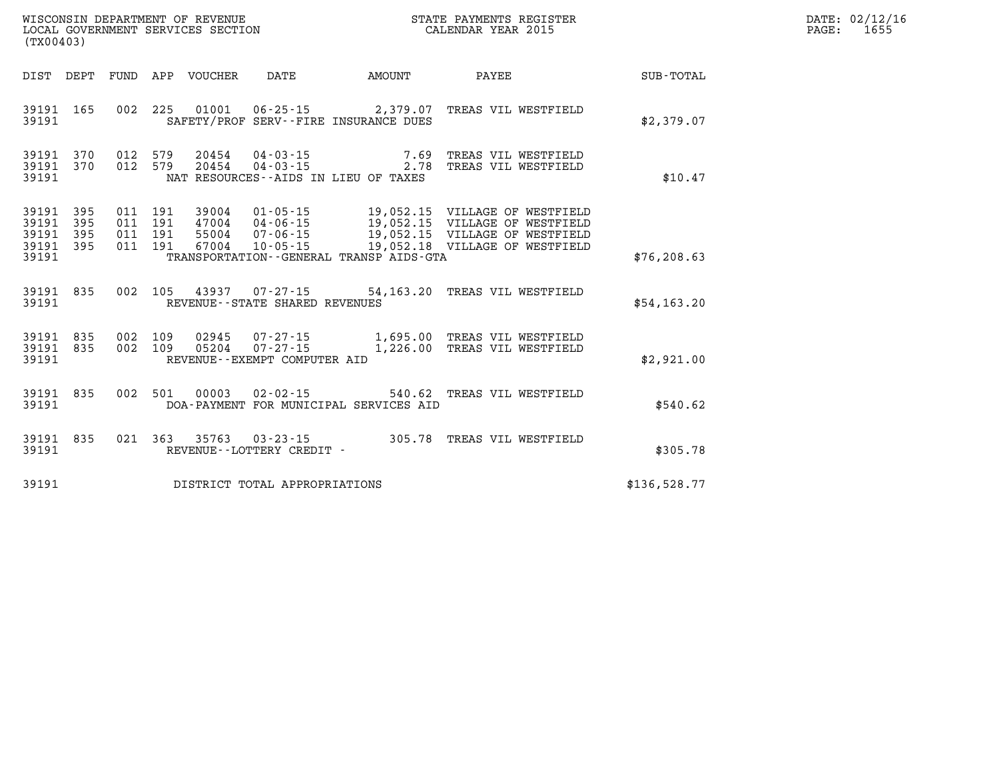| WISCONSIN DEPARTMENT OF REVENUE<br>LOCAL GOVERNMENT SERVICES SECTION<br>(TX00403) |                          |                          |                          |                                  |                                                                      |                                                        | STATE PAYMENTS REGISTER<br>CALENDAR YEAR 2015                                                                                        |              |  |  |
|-----------------------------------------------------------------------------------|--------------------------|--------------------------|--------------------------|----------------------------------|----------------------------------------------------------------------|--------------------------------------------------------|--------------------------------------------------------------------------------------------------------------------------------------|--------------|--|--|
| DIST                                                                              | DEPT                     | FUND                     | APP                      | VOUCHER                          | <b>DATE</b>                                                          | AMOUNT                                                 | PAYEE                                                                                                                                | SUB-TOTAL    |  |  |
| 39191<br>39191                                                                    | 165                      | 002                      | 225                      | 01001                            | $06 - 25 - 15$                                                       | 2,379.07<br>SAFETY/PROF SERV--FIRE INSURANCE DUES      | TREAS VIL WESTFIELD                                                                                                                  | \$2,379.07   |  |  |
| 39191<br>39191<br>39191                                                           | 370<br>370               | 012<br>012               | 579<br>579               | 20454<br>20454                   | $04 - 03 - 15$<br>$04 - 03 - 15$                                     | 7.69<br>2.78<br>NAT RESOURCES -- AIDS IN LIEU OF TAXES | TREAS VIL WESTFIELD<br>TREAS VIL WESTFIELD                                                                                           | \$10.47      |  |  |
| 39191<br>39191<br>39191<br>39191<br>39191                                         | 395<br>395<br>395<br>395 | 011<br>011<br>011<br>011 | 191<br>191<br>191<br>191 | 39004<br>47004<br>55004<br>67004 | $01 - 05 - 15$<br>$04 - 06 - 15$<br>$07 - 06 - 15$<br>$10 - 05 - 15$ | TRANSPORTATION--GENERAL TRANSP AIDS-GTA                | 19,052.15 VILLAGE OF WESTFIELD<br>19,052.15 VILLAGE OF WESTFIELD<br>19,052.15 VILLAGE OF WESTFIELD<br>19,052.18 VILLAGE OF WESTFIELD | \$76, 208.63 |  |  |
| 39191<br>39191                                                                    | 835                      | 002                      | 105                      | 43937                            | $07 - 27 - 15$<br>REVENUE - - STATE SHARED REVENUES                  |                                                        | 54,163.20 TREAS VIL WESTFIELD                                                                                                        | \$54,163.20  |  |  |
| 39191<br>39191<br>39191                                                           | 835<br>835               | 002<br>002               | 109<br>109               | 02945<br>05204                   | $07 - 27 - 15$<br>$07 - 27 - 15$<br>REVENUE--EXEMPT COMPUTER AID     | 1,226.00                                               | 1,695.00 TREAS VIL WESTFIELD<br>TREAS VIL WESTFIELD                                                                                  | \$2,921.00   |  |  |
| 39191<br>39191                                                                    | 835                      | 002                      | 501                      | 00003                            | $02 - 02 - 15$                                                       | 540.62<br>DOA-PAYMENT FOR MUNICIPAL SERVICES AID       | TREAS VIL WESTFIELD                                                                                                                  | \$540.62     |  |  |
| 39191<br>39191                                                                    | 835                      | 021                      | 363                      | 35763                            | $03 - 23 - 15$<br>REVENUE--LOTTERY CREDIT -                          | 305.78                                                 | TREAS VIL WESTFIELD                                                                                                                  | \$305.78     |  |  |
| 39191                                                                             |                          |                          |                          |                                  | DISTRICT TOTAL APPROPRIATIONS                                        |                                                        |                                                                                                                                      | \$136,528.77 |  |  |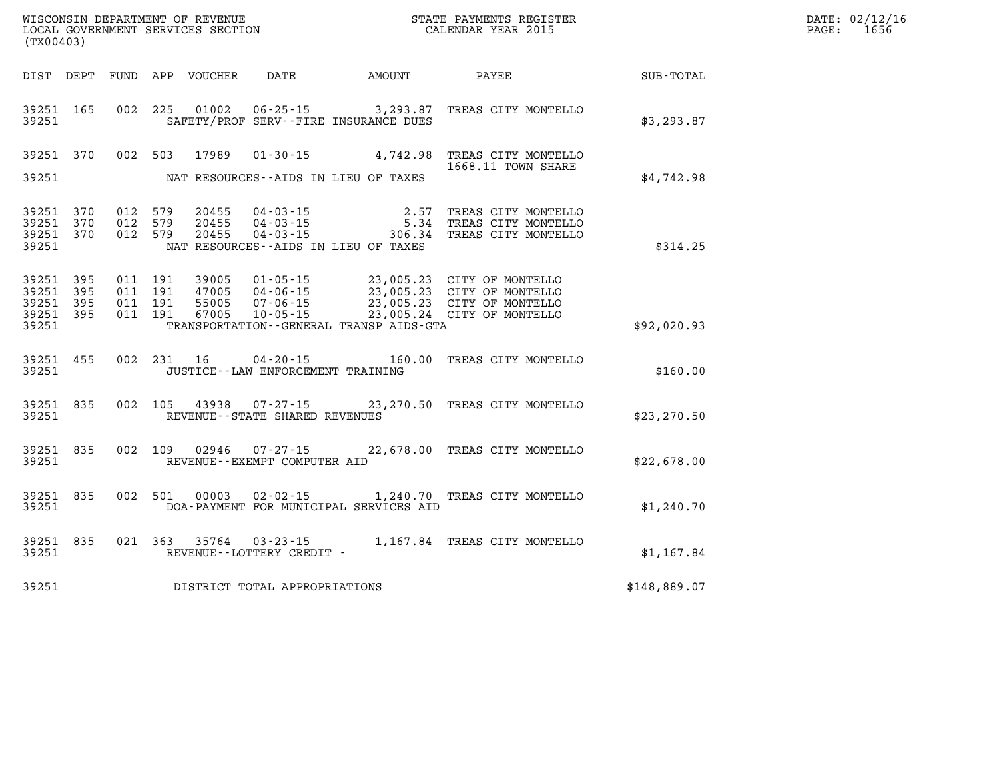| DATE: | 02/12/16 |
|-------|----------|
| PAGE: | 1656     |

| (TX00403)                                 |                          |                          |                          | WISCONSIN DEPARTMENT OF REVENUE<br>LOCAL GOVERNMENT SERVICES SECTION |                                                                      |                                                                                                  | STATE PAYMENTS REGISTER<br>CALENDAR YEAR 2015                                |              |
|-------------------------------------------|--------------------------|--------------------------|--------------------------|----------------------------------------------------------------------|----------------------------------------------------------------------|--------------------------------------------------------------------------------------------------|------------------------------------------------------------------------------|--------------|
| DIST                                      | DEPT                     | FUND                     | APP                      | VOUCHER                                                              | <b>DATE</b>                                                          | AMOUNT                                                                                           | PAYEE                                                                        | SUB-TOTAL    |
| 39251<br>39251                            | 165                      | 002                      | 225                      | 01002                                                                |                                                                      | $06 - 25 - 15$ 3, 293.87<br>SAFETY/PROF SERV--FIRE INSURANCE DUES                                | TREAS CITY MONTELLO                                                          | \$3, 293.87  |
| 39251                                     | 370                      | 002                      | 503                      | 17989                                                                | $01 - 30 - 15$                                                       | 4,742.98                                                                                         | TREAS CITY MONTELLO<br>1668.11 TOWN SHARE                                    |              |
| 39251                                     |                          |                          |                          |                                                                      |                                                                      | NAT RESOURCES -- AIDS IN LIEU OF TAXES                                                           |                                                                              | \$4,742.98   |
| 39251<br>39251<br>39251<br>39251          | 370<br>370<br>370        | 012<br>012<br>012        | 579<br>579<br>579        | 20455<br>20455<br>20455                                              | $04 - 03 - 15$<br>$04 - 03 - 15$<br>04 - 03 - 15                     | 2.57<br>5.34<br>306.34<br>NAT RESOURCES -- AIDS IN LIEU OF TAXES                                 | TREAS CITY MONTELLO<br>TREAS CITY MONTELLO<br>TREAS CITY MONTELLO            | \$314.25     |
| 39251<br>39251<br>39251<br>39251<br>39251 | 395<br>395<br>395<br>395 | 011<br>011<br>011<br>011 | 191<br>191<br>191<br>191 | 39005<br>47005<br>55005<br>67005                                     | $01 - 05 - 15$<br>$04 - 06 - 15$<br>$07 - 06 - 15$<br>$10 - 05 - 15$ | 23,005.23<br>23,005.23<br>23,005.23<br>23,005.24<br>TRANSPORTATION - - GENERAL TRANSP AIDS - GTA | CITY OF MONTELLO<br>CITY OF MONTELLO<br>CITY OF MONTELLO<br>CITY OF MONTELLO | \$92,020.93  |
| 39251<br>39251                            | 455                      | 002                      | 231                      | 16                                                                   | $04 - 20 - 15$<br>JUSTICE - - LAW ENFORCEMENT TRAINING               | 160.00                                                                                           | TREAS CITY MONTELLO                                                          | \$160.00     |
| 39251<br>39251                            | 835                      | 002                      | 105                      | 43938                                                                | $07 - 27 - 15$<br>REVENUE - - STATE SHARED REVENUES                  | 23,270.50                                                                                        | TREAS CITY MONTELLO                                                          | \$23, 270.50 |
| 39251<br>39251                            | 835                      | 002                      | 109                      | 02946                                                                | $07 - 27 - 15$<br>REVENUE--EXEMPT COMPUTER AID                       | 22,678.00                                                                                        | TREAS CITY MONTELLO                                                          | \$22,678.00  |
| 39251<br>39251                            | 835                      | 002                      | 501                      | 00003                                                                |                                                                      | $02 - 02 - 15$ 1, 240.70<br>DOA-PAYMENT FOR MUNICIPAL SERVICES AID                               | TREAS CITY MONTELLO                                                          | \$1,240.70   |
| 39251<br>39251                            | 835                      | 021                      | 363                      | 35764                                                                | $03 - 23 - 15$<br>REVENUE - - LOTTERY CREDIT -                       | 1,167.84                                                                                         | TREAS CITY MONTELLO                                                          | \$1,167.84   |
| 39251                                     |                          |                          |                          |                                                                      | DISTRICT TOTAL APPROPRIATIONS                                        |                                                                                                  |                                                                              | \$148,889.07 |